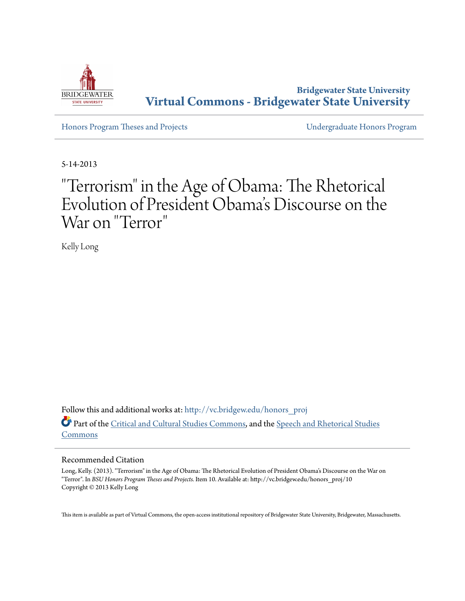

**Bridgewater State University [Virtual Commons - Bridgewater State University](http://vc.bridgew.edu?utm_source=vc.bridgew.edu%2Fhonors_proj%2F10&utm_medium=PDF&utm_campaign=PDFCoverPages)**

[Honors Program Theses and Projects](http://vc.bridgew.edu/honors_proj?utm_source=vc.bridgew.edu%2Fhonors_proj%2F10&utm_medium=PDF&utm_campaign=PDFCoverPages) [Undergraduate Honors Program](http://vc.bridgew.edu/honors?utm_source=vc.bridgew.edu%2Fhonors_proj%2F10&utm_medium=PDF&utm_campaign=PDFCoverPages)

5-14-2013

# "Terrorism" in the Age of Obama: The Rhetorical Evolution of President Obama 's Discourse on the War on "Terror "

Kelly Long

Follow this and additional works at: [http://vc.bridgew.edu/honors\\_proj](http://vc.bridgew.edu/honors_proj?utm_source=vc.bridgew.edu%2Fhonors_proj%2F10&utm_medium=PDF&utm_campaign=PDFCoverPages) Part of the [Critical and Cultural Studies Commons](http://network.bepress.com/hgg/discipline/328?utm_source=vc.bridgew.edu%2Fhonors_proj%2F10&utm_medium=PDF&utm_campaign=PDFCoverPages), and the [Speech and Rhetorical Studies](http://network.bepress.com/hgg/discipline/338?utm_source=vc.bridgew.edu%2Fhonors_proj%2F10&utm_medium=PDF&utm_campaign=PDFCoverPages) [Commons](http://network.bepress.com/hgg/discipline/338?utm_source=vc.bridgew.edu%2Fhonors_proj%2F10&utm_medium=PDF&utm_campaign=PDFCoverPages)

# Recommended Citation

Long, Kelly. (2013). "Terrorism" in the Age of Obama: The Rhetorical Evolution of President Obama's Discourse on the War on "Terror". In *BSU Honors Program Theses and Projects.* Item 10. Available at: http://vc.bridgew.edu/honors\_proj/10 Copyright © 2013 Kelly Long

This item is available as part of Virtual Commons, the open-access institutional repository of Bridgewater State University, Bridgewater, Massachusetts.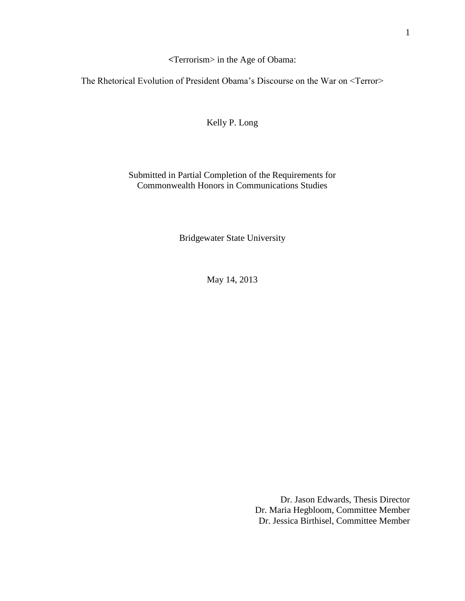**<**Terrorism> in the Age of Obama:

The Rhetorical Evolution of President Obama's Discourse on the War on <Terror>

Kelly P. Long

Submitted in Partial Completion of the Requirements for Commonwealth Honors in Communications Studies

Bridgewater State University

May 14, 2013

Dr. Jason Edwards, Thesis Director Dr. Maria Hegbloom, Committee Member Dr. Jessica Birthisel, Committee Member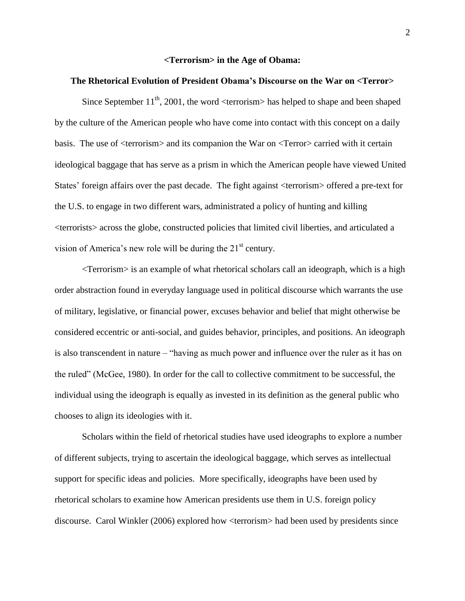#### **<Terrorism> in the Age of Obama:**

## **The Rhetorical Evolution of President Obama's Discourse on the War on <Terror>**

Since September  $11^{th}$ , 2001, the word  $\langle$  terrorism $\rangle$  has helped to shape and been shaped by the culture of the American people who have come into contact with this concept on a daily basis. The use of <terrorism> and its companion the War on <Terror> carried with it certain ideological baggage that has serve as a prism in which the American people have viewed United States' foreign affairs over the past decade. The fight against <terrorism> offered a pre-text for the U.S. to engage in two different wars, administrated a policy of hunting and killing <terrorists> across the globe, constructed policies that limited civil liberties, and articulated a vision of America's new role will be during the  $21<sup>st</sup>$  century.

<Terrorism> is an example of what rhetorical scholars call an ideograph, which is a high order abstraction found in everyday language used in political discourse which warrants the use of military, legislative, or financial power, excuses behavior and belief that might otherwise be considered eccentric or anti-social, and guides behavior, principles, and positions. An ideograph is also transcendent in nature – "having as much power and influence over the ruler as it has on the ruled" (McGee, 1980). In order for the call to collective commitment to be successful, the individual using the ideograph is equally as invested in its definition as the general public who chooses to align its ideologies with it.

Scholars within the field of rhetorical studies have used ideographs to explore a number of different subjects, trying to ascertain the ideological baggage, which serves as intellectual support for specific ideas and policies. More specifically, ideographs have been used by rhetorical scholars to examine how American presidents use them in U.S. foreign policy discourse. Carol Winkler (2006) explored how <terrorism> had been used by presidents since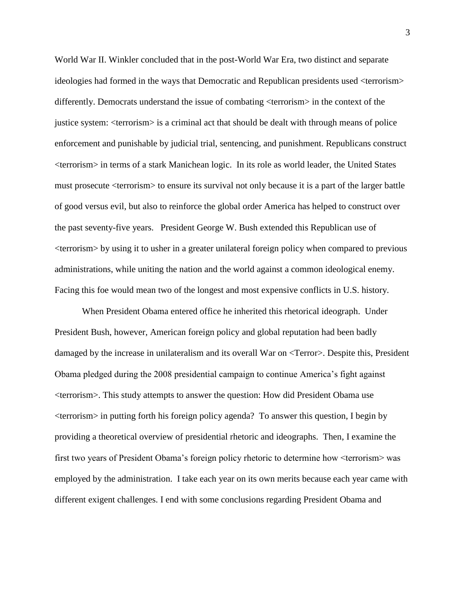World War II. Winkler concluded that in the post-World War Era, two distinct and separate ideologies had formed in the ways that Democratic and Republican presidents used <terrorism> differently. Democrats understand the issue of combating <terrorism> in the context of the justice system: <terrorism> is a criminal act that should be dealt with through means of police enforcement and punishable by judicial trial, sentencing, and punishment. Republicans construct <terrorism> in terms of a stark Manichean logic. In its role as world leader, the United States must prosecute <terrorism> to ensure its survival not only because it is a part of the larger battle of good versus evil, but also to reinforce the global order America has helped to construct over the past seventy-five years. President George W. Bush extended this Republican use of <terrorism> by using it to usher in a greater unilateral foreign policy when compared to previous administrations, while uniting the nation and the world against a common ideological enemy. Facing this foe would mean two of the longest and most expensive conflicts in U.S. history.

When President Obama entered office he inherited this rhetorical ideograph. Under President Bush, however, American foreign policy and global reputation had been badly damaged by the increase in unilateralism and its overall War on <Terror>. Despite this, President Obama pledged during the 2008 presidential campaign to continue America's fight against <terrorism>. This study attempts to answer the question: How did President Obama use <terrorism> in putting forth his foreign policy agenda? To answer this question, I begin by providing a theoretical overview of presidential rhetoric and ideographs. Then, I examine the first two years of President Obama's foreign policy rhetoric to determine how <terrorism> was employed by the administration. I take each year on its own merits because each year came with different exigent challenges. I end with some conclusions regarding President Obama and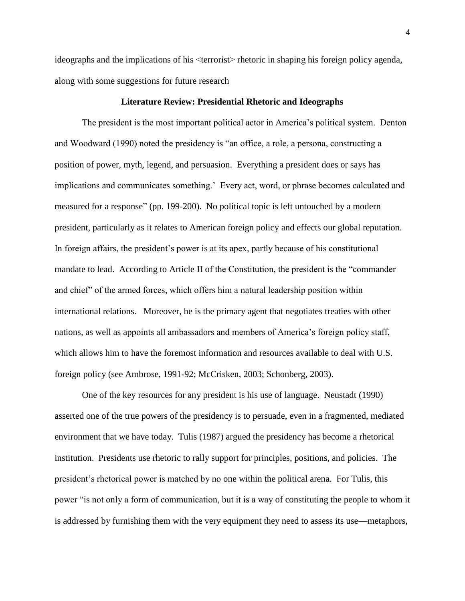ideographs and the implications of his <terrorist> rhetoric in shaping his foreign policy agenda, along with some suggestions for future research

# **Literature Review: Presidential Rhetoric and Ideographs**

The president is the most important political actor in America's political system. Denton and Woodward (1990) noted the presidency is "an office, a role, a persona, constructing a position of power, myth, legend, and persuasion. Everything a president does or says has implications and communicates something.' Every act, word, or phrase becomes calculated and measured for a response" (pp. 199-200). No political topic is left untouched by a modern president, particularly as it relates to American foreign policy and effects our global reputation. In foreign affairs, the president's power is at its apex, partly because of his constitutional mandate to lead. According to Article II of the Constitution, the president is the "commander and chief" of the armed forces, which offers him a natural leadership position within international relations. Moreover, he is the primary agent that negotiates treaties with other nations, as well as appoints all ambassadors and members of America's foreign policy staff, which allows him to have the foremost information and resources available to deal with U.S. foreign policy (see Ambrose, 1991-92; McCrisken, 2003; Schonberg, 2003).

One of the key resources for any president is his use of language. Neustadt (1990) asserted one of the true powers of the presidency is to persuade, even in a fragmented, mediated environment that we have today. Tulis (1987) argued the presidency has become a rhetorical institution. Presidents use rhetoric to rally support for principles, positions, and policies. The president's rhetorical power is matched by no one within the political arena. For Tulis, this power "is not only a form of communication, but it is a way of constituting the people to whom it is addressed by furnishing them with the very equipment they need to assess its use—metaphors,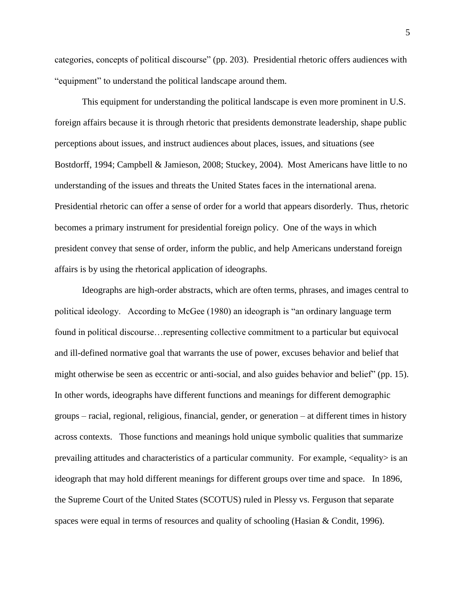categories, concepts of political discourse" (pp. 203). Presidential rhetoric offers audiences with "equipment" to understand the political landscape around them.

This equipment for understanding the political landscape is even more prominent in U.S. foreign affairs because it is through rhetoric that presidents demonstrate leadership, shape public perceptions about issues, and instruct audiences about places, issues, and situations (see Bostdorff, 1994; Campbell & Jamieson, 2008; Stuckey, 2004). Most Americans have little to no understanding of the issues and threats the United States faces in the international arena. Presidential rhetoric can offer a sense of order for a world that appears disorderly. Thus, rhetoric becomes a primary instrument for presidential foreign policy. One of the ways in which president convey that sense of order, inform the public, and help Americans understand foreign affairs is by using the rhetorical application of ideographs.

Ideographs are high-order abstracts, which are often terms, phrases, and images central to political ideology. According to McGee (1980) an ideograph is "an ordinary language term found in political discourse…representing collective commitment to a particular but equivocal and ill-defined normative goal that warrants the use of power, excuses behavior and belief that might otherwise be seen as eccentric or anti-social, and also guides behavior and belief" (pp. 15). In other words, ideographs have different functions and meanings for different demographic groups – racial, regional, religious, financial, gender, or generation – at different times in history across contexts. Those functions and meanings hold unique symbolic qualities that summarize prevailing attitudes and characteristics of a particular community. For example, <equality> is an ideograph that may hold different meanings for different groups over time and space. In 1896, the Supreme Court of the United States (SCOTUS) ruled in Plessy vs. Ferguson that separate spaces were equal in terms of resources and quality of schooling (Hasian & Condit, 1996).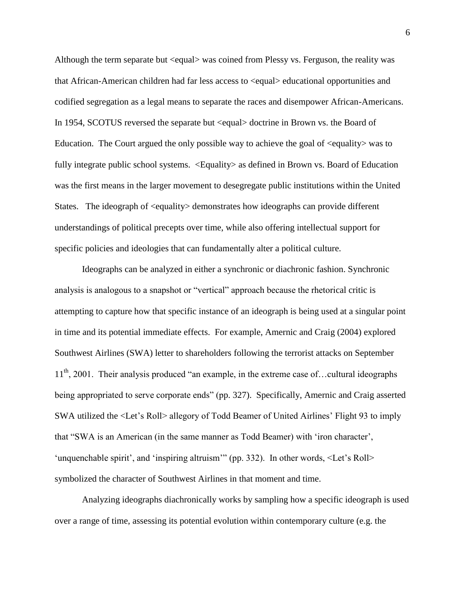Although the term separate but <equal> was coined from Plessy vs. Ferguson, the reality was that African-American children had far less access to <equal> educational opportunities and codified segregation as a legal means to separate the races and disempower African-Americans. In 1954, SCOTUS reversed the separate but  $\langle$  squal $\rangle$  doctrine in Brown vs. the Board of Education. The Court argued the only possible way to achieve the goal of  $\leq$  equality  $\geq$  was to fully integrate public school systems.  $\leq$ Equality as defined in Brown vs. Board of Education was the first means in the larger movement to desegregate public institutions within the United States. The ideograph of <equality> demonstrates how ideographs can provide different understandings of political precepts over time, while also offering intellectual support for specific policies and ideologies that can fundamentally alter a political culture.

Ideographs can be analyzed in either a synchronic or diachronic fashion. Synchronic analysis is analogous to a snapshot or "vertical" approach because the rhetorical critic is attempting to capture how that specific instance of an ideograph is being used at a singular point in time and its potential immediate effects. For example, Amernic and Craig (2004) explored Southwest Airlines (SWA) letter to shareholders following the terrorist attacks on September 11<sup>th</sup>, 2001. Their analysis produced "an example, in the extreme case of...cultural ideographs being appropriated to serve corporate ends" (pp. 327). Specifically, Amernic and Craig asserted SWA utilized the <Let's Roll> allegory of Todd Beamer of United Airlines' Flight 93 to imply that "SWA is an American (in the same manner as Todd Beamer) with 'iron character', 'unquenchable spirit', and 'inspiring altruism'" (pp. 332). In other words, <Let's Roll> symbolized the character of Southwest Airlines in that moment and time.

Analyzing ideographs diachronically works by sampling how a specific ideograph is used over a range of time, assessing its potential evolution within contemporary culture (e.g. the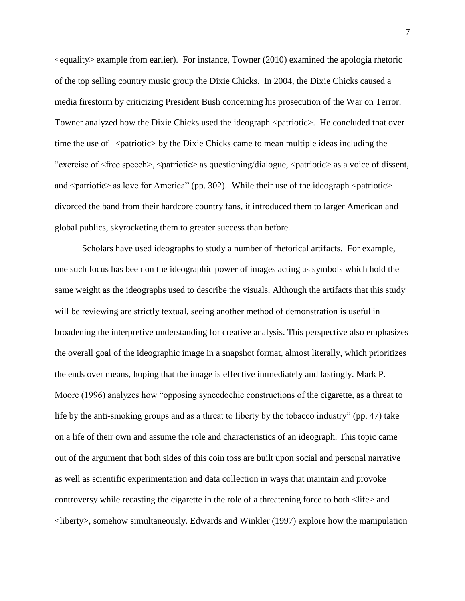$\leq$ equality example from earlier). For instance, Towner (2010) examined the apologia rhetoric of the top selling country music group the Dixie Chicks. In 2004, the Dixie Chicks caused a media firestorm by criticizing President Bush concerning his prosecution of the War on Terror. Towner analyzed how the Dixie Chicks used the ideograph  $\epsilon$  patriotic  $\epsilon$ . He concluded that over time the use of  $\leq$  patriotic $>$  by the Dixie Chicks came to mean multiple ideas including the "exercise of <free speech>, <patriotic> as questioning/dialogue, <patriotic> as a voice of dissent, and  $\epsilon$  patriotic as love for America" (pp. 302). While their use of the ideograph  $\epsilon$  patriotic  $>$ divorced the band from their hardcore country fans, it introduced them to larger American and global publics, skyrocketing them to greater success than before.

Scholars have used ideographs to study a number of rhetorical artifacts. For example, one such focus has been on the ideographic power of images acting as symbols which hold the same weight as the ideographs used to describe the visuals. Although the artifacts that this study will be reviewing are strictly textual, seeing another method of demonstration is useful in broadening the interpretive understanding for creative analysis. This perspective also emphasizes the overall goal of the ideographic image in a snapshot format, almost literally, which prioritizes the ends over means, hoping that the image is effective immediately and lastingly. Mark P. Moore (1996) analyzes how "opposing synecdochic constructions of the cigarette, as a threat to life by the anti-smoking groups and as a threat to liberty by the tobacco industry" (pp. 47) take on a life of their own and assume the role and characteristics of an ideograph. This topic came out of the argument that both sides of this coin toss are built upon social and personal narrative as well as scientific experimentation and data collection in ways that maintain and provoke controversy while recasting the cigarette in the role of a threatening force to both <life> and <liberty>, somehow simultaneously. Edwards and Winkler (1997) explore how the manipulation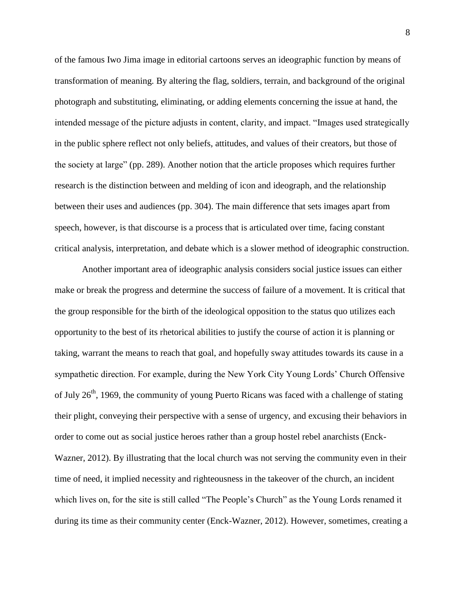of the famous Iwo Jima image in editorial cartoons serves an ideographic function by means of transformation of meaning. By altering the flag, soldiers, terrain, and background of the original photograph and substituting, eliminating, or adding elements concerning the issue at hand, the intended message of the picture adjusts in content, clarity, and impact. "Images used strategically in the public sphere reflect not only beliefs, attitudes, and values of their creators, but those of the society at large" (pp. 289). Another notion that the article proposes which requires further research is the distinction between and melding of icon and ideograph, and the relationship between their uses and audiences (pp. 304). The main difference that sets images apart from speech, however, is that discourse is a process that is articulated over time, facing constant critical analysis, interpretation, and debate which is a slower method of ideographic construction.

Another important area of ideographic analysis considers social justice issues can either make or break the progress and determine the success of failure of a movement. It is critical that the group responsible for the birth of the ideological opposition to the status quo utilizes each opportunity to the best of its rhetorical abilities to justify the course of action it is planning or taking, warrant the means to reach that goal, and hopefully sway attitudes towards its cause in a sympathetic direction. For example, during the New York City Young Lords' Church Offensive of July  $26<sup>th</sup>$ , 1969, the community of young Puerto Ricans was faced with a challenge of stating their plight, conveying their perspective with a sense of urgency, and excusing their behaviors in order to come out as social justice heroes rather than a group hostel rebel anarchists (Enck-Wazner, 2012). By illustrating that the local church was not serving the community even in their time of need, it implied necessity and righteousness in the takeover of the church, an incident which lives on, for the site is still called "The People's Church" as the Young Lords renamed it during its time as their community center (Enck-Wazner, 2012). However, sometimes, creating a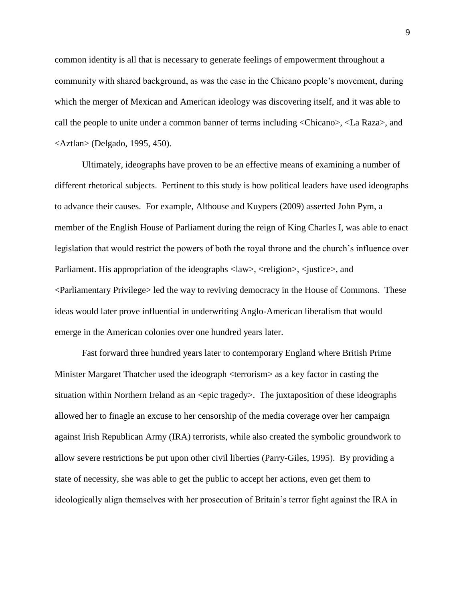common identity is all that is necessary to generate feelings of empowerment throughout a community with shared background, as was the case in the Chicano people's movement, during which the merger of Mexican and American ideology was discovering itself, and it was able to call the people to unite under a common banner of terms including <Chicano>, <La Raza>, and <Aztlan> (Delgado, 1995, 450).

Ultimately, ideographs have proven to be an effective means of examining a number of different rhetorical subjects. Pertinent to this study is how political leaders have used ideographs to advance their causes. For example, Althouse and Kuypers (2009) asserted John Pym, a member of the English House of Parliament during the reign of King Charles I, was able to enact legislation that would restrict the powers of both the royal throne and the church's influence over Parliament. His appropriation of the ideographs  $\langle$ law>,  $\langle$ religion>,  $\langle$  justice>, and <Parliamentary Privilege> led the way to reviving democracy in the House of Commons. These ideas would later prove influential in underwriting Anglo-American liberalism that would emerge in the American colonies over one hundred years later.

Fast forward three hundred years later to contemporary England where British Prime Minister Margaret Thatcher used the ideograph <terrorism> as a key factor in casting the situation within Northern Ireland as an  $\leq$ epic tragedy>. The juxtaposition of these ideographs allowed her to finagle an excuse to her censorship of the media coverage over her campaign against Irish Republican Army (IRA) terrorists, while also created the symbolic groundwork to allow severe restrictions be put upon other civil liberties (Parry-Giles, 1995). By providing a state of necessity, she was able to get the public to accept her actions, even get them to ideologically align themselves with her prosecution of Britain's terror fight against the IRA in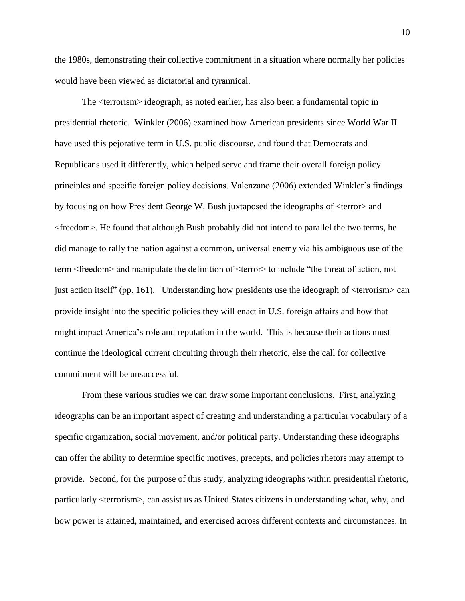the 1980s, demonstrating their collective commitment in a situation where normally her policies would have been viewed as dictatorial and tyrannical.

The <terrorism> ideograph, as noted earlier, has also been a fundamental topic in presidential rhetoric. Winkler (2006) examined how American presidents since World War II have used this pejorative term in U.S. public discourse, and found that Democrats and Republicans used it differently, which helped serve and frame their overall foreign policy principles and specific foreign policy decisions. Valenzano (2006) extended Winkler's findings by focusing on how President George W. Bush juxtaposed the ideographs of <terror> and <freedom>. He found that although Bush probably did not intend to parallel the two terms, he did manage to rally the nation against a common, universal enemy via his ambiguous use of the term <freedom> and manipulate the definition of <terror> to include "the threat of action, not just action itself" (pp. 161). Understanding how presidents use the ideograph of  $\leq$  terrorism $>$  can provide insight into the specific policies they will enact in U.S. foreign affairs and how that might impact America's role and reputation in the world. This is because their actions must continue the ideological current circuiting through their rhetoric, else the call for collective commitment will be unsuccessful.

From these various studies we can draw some important conclusions. First, analyzing ideographs can be an important aspect of creating and understanding a particular vocabulary of a specific organization, social movement, and/or political party. Understanding these ideographs can offer the ability to determine specific motives, precepts, and policies rhetors may attempt to provide. Second, for the purpose of this study, analyzing ideographs within presidential rhetoric, particularly <terrorism>, can assist us as United States citizens in understanding what, why, and how power is attained, maintained, and exercised across different contexts and circumstances. In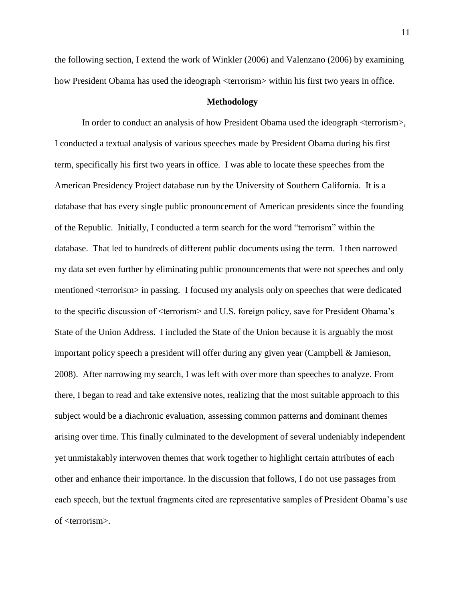the following section, I extend the work of Winkler (2006) and Valenzano (2006) by examining how President Obama has used the ideograph <terrorism> within his first two years in office.

# **Methodology**

In order to conduct an analysis of how President Obama used the ideograph <terrorism>, I conducted a textual analysis of various speeches made by President Obama during his first term, specifically his first two years in office. I was able to locate these speeches from the American Presidency Project database run by the University of Southern California. It is a database that has every single public pronouncement of American presidents since the founding of the Republic. Initially, I conducted a term search for the word "terrorism" within the database. That led to hundreds of different public documents using the term. I then narrowed my data set even further by eliminating public pronouncements that were not speeches and only mentioned <terrorism> in passing. I focused my analysis only on speeches that were dedicated to the specific discussion of <terrorism> and U.S. foreign policy, save for President Obama's State of the Union Address. I included the State of the Union because it is arguably the most important policy speech a president will offer during any given year (Campbell & Jamieson, 2008). After narrowing my search, I was left with over more than speeches to analyze. From there, I began to read and take extensive notes, realizing that the most suitable approach to this subject would be a diachronic evaluation, assessing common patterns and dominant themes arising over time. This finally culminated to the development of several undeniably independent yet unmistakably interwoven themes that work together to highlight certain attributes of each other and enhance their importance. In the discussion that follows, I do not use passages from each speech, but the textual fragments cited are representative samples of President Obama's use of <terrorism>.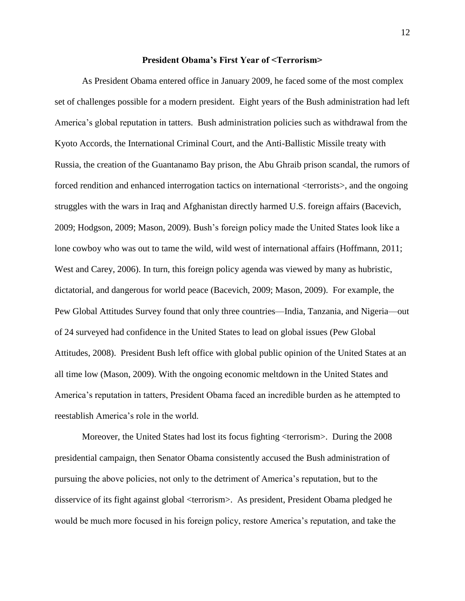## **President Obama's First Year of <Terrorism>**

As President Obama entered office in January 2009, he faced some of the most complex set of challenges possible for a modern president. Eight years of the Bush administration had left America's global reputation in tatters. Bush administration policies such as withdrawal from the Kyoto Accords, the International Criminal Court, and the Anti-Ballistic Missile treaty with Russia, the creation of the Guantanamo Bay prison, the Abu Ghraib prison scandal, the rumors of forced rendition and enhanced interrogation tactics on international <terrorists>, and the ongoing struggles with the wars in Iraq and Afghanistan directly harmed U.S. foreign affairs (Bacevich, 2009; Hodgson, 2009; Mason, 2009). Bush's foreign policy made the United States look like a lone cowboy who was out to tame the wild, wild west of international affairs (Hoffmann, 2011; West and Carey, 2006). In turn, this foreign policy agenda was viewed by many as hubristic, dictatorial, and dangerous for world peace (Bacevich, 2009; Mason, 2009). For example, the Pew Global Attitudes Survey found that only three countries—India, Tanzania, and Nigeria—out of 24 surveyed had confidence in the United States to lead on global issues (Pew Global Attitudes, 2008). President Bush left office with global public opinion of the United States at an all time low (Mason, 2009). With the ongoing economic meltdown in the United States and America's reputation in tatters, President Obama faced an incredible burden as he attempted to reestablish America's role in the world.

Moreover, the United States had lost its focus fighting <terrorism>. During the 2008 presidential campaign, then Senator Obama consistently accused the Bush administration of pursuing the above policies, not only to the detriment of America's reputation, but to the disservice of its fight against global <terrorism>. As president, President Obama pledged he would be much more focused in his foreign policy, restore America's reputation, and take the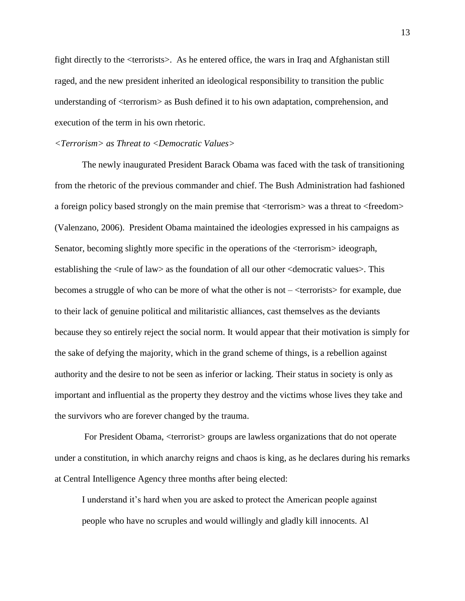fight directly to the <terrorists>. As he entered office, the wars in Iraq and Afghanistan still raged, and the new president inherited an ideological responsibility to transition the public understanding of <terrorism> as Bush defined it to his own adaptation, comprehension, and execution of the term in his own rhetoric.

#### *<Terrorism> as Threat to <Democratic Values>*

The newly inaugurated President Barack Obama was faced with the task of transitioning from the rhetoric of the previous commander and chief. The Bush Administration had fashioned a foreign policy based strongly on the main premise that <terrorism> was a threat to <freedom> (Valenzano, 2006). President Obama maintained the ideologies expressed in his campaigns as Senator, becoming slightly more specific in the operations of the <terrorism> ideograph, establishing the <rule of law> as the foundation of all our other <democratic values>. This becomes a struggle of who can be more of what the other is not – <terrorists> for example, due to their lack of genuine political and militaristic alliances, cast themselves as the deviants because they so entirely reject the social norm. It would appear that their motivation is simply for the sake of defying the majority, which in the grand scheme of things, is a rebellion against authority and the desire to not be seen as inferior or lacking. Their status in society is only as important and influential as the property they destroy and the victims whose lives they take and the survivors who are forever changed by the trauma.

For President Obama, <terrorist> groups are lawless organizations that do not operate under a constitution, in which anarchy reigns and chaos is king, as he declares during his remarks at Central Intelligence Agency three months after being elected:

I understand it's hard when you are asked to protect the American people against people who have no scruples and would willingly and gladly kill innocents. Al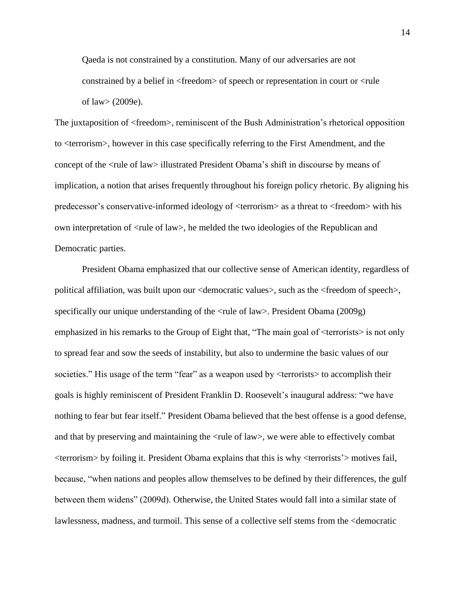Qaeda is not constrained by a constitution. Many of our adversaries are not constrained by a belief in <freedom> of speech or representation in court or <rule of law> (2009e).

The juxtaposition of <freedom>, reminiscent of the Bush Administration's rhetorical opposition to <terrorism>, however in this case specifically referring to the First Amendment, and the concept of the <rule of law> illustrated President Obama's shift in discourse by means of implication, a notion that arises frequently throughout his foreign policy rhetoric. By aligning his predecessor's conservative-informed ideology of <terrorism> as a threat to <freedom> with his own interpretation of <rule of law>, he melded the two ideologies of the Republican and Democratic parties.

President Obama emphasized that our collective sense of American identity, regardless of political affiliation, was built upon our <democratic values>, such as the <freedom of speech>, specifically our unique understanding of the <rule of law>. President Obama (2009g) emphasized in his remarks to the Group of Eight that, "The main goal of  $\leq$ terrorists $>$  is not only to spread fear and sow the seeds of instability, but also to undermine the basic values of our societies." His usage of the term "fear" as a weapon used by  $\leq$ terrorists $>$  to accomplish their goals is highly reminiscent of President Franklin D. Roosevelt's inaugural address: "we have nothing to fear but fear itself." President Obama believed that the best offense is a good defense, and that by preserving and maintaining the  $\langle$ rule of law>, we were able to effectively combat <terrorism> by foiling it. President Obama explains that this is why <terrorists'> motives fail, because, "when nations and peoples allow themselves to be defined by their differences, the gulf between them widens" (2009d). Otherwise, the United States would fall into a similar state of lawlessness, madness, and turmoil. This sense of a collective self stems from the <democratic

14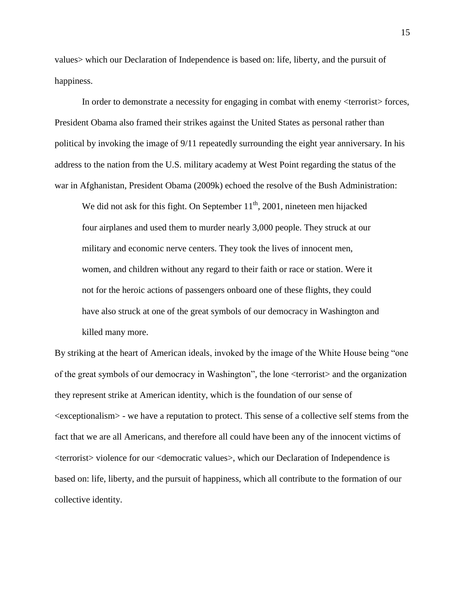values> which our Declaration of Independence is based on: life, liberty, and the pursuit of happiness.

In order to demonstrate a necessity for engaging in combat with enemy <terrorist> forces, President Obama also framed their strikes against the United States as personal rather than political by invoking the image of 9/11 repeatedly surrounding the eight year anniversary. In his address to the nation from the U.S. military academy at West Point regarding the status of the war in Afghanistan, President Obama (2009k) echoed the resolve of the Bush Administration:

We did not ask for this fight. On September  $11<sup>th</sup>$ , 2001, nineteen men hijacked four airplanes and used them to murder nearly 3,000 people. They struck at our military and economic nerve centers. They took the lives of innocent men, women, and children without any regard to their faith or race or station. Were it not for the heroic actions of passengers onboard one of these flights, they could have also struck at one of the great symbols of our democracy in Washington and killed many more.

By striking at the heart of American ideals, invoked by the image of the White House being "one of the great symbols of our democracy in Washington", the lone <terrorist> and the organization they represent strike at American identity, which is the foundation of our sense of <exceptionalism> - we have a reputation to protect. This sense of a collective self stems from the fact that we are all Americans, and therefore all could have been any of the innocent victims of <terrorist> violence for our <democratic values>, which our Declaration of Independence is based on: life, liberty, and the pursuit of happiness, which all contribute to the formation of our collective identity.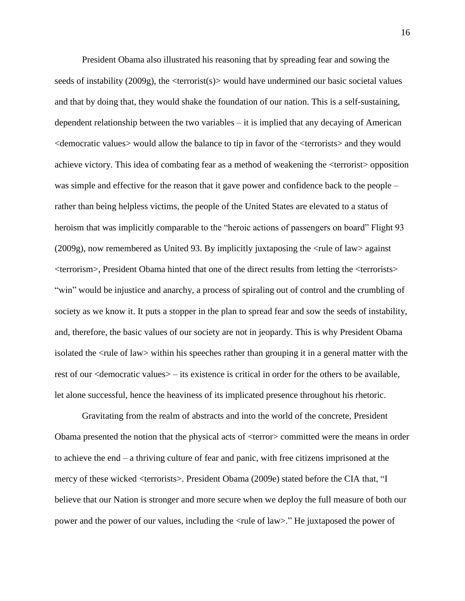President Obama also illustrated his reasoning that by spreading fear and sowing the seeds of instability  $(2009g)$ , the  $\langle \text{terrorist}(s) \rangle$  would have undermined our basic societal values and that by doing that, they would shake the foundation of our nation. This is a self-sustaining, dependent relationship between the two variables – it is implied that any decaying of American <democratic values> would allow the balance to tip in favor of the <terrorists> and they would achieve victory. This idea of combating fear as a method of weakening the <terrorist> opposition was simple and effective for the reason that it gave power and confidence back to the people – rather than being helpless victims, the people of the United States are elevated to a status of heroism that was implicitly comparable to the "heroic actions of passengers on board" Flight 93 (2009g), now remembered as United 93. By implicitly juxtaposing the <rule of law> against <terrorism>, President Obama hinted that one of the direct results from letting the <terrorists> "win" would be injustice and anarchy, a process of spiraling out of control and the crumbling of society as we know it. It puts a stopper in the plan to spread fear and sow the seeds of instability, and, therefore, the basic values of our society are not in jeopardy. This is why President Obama isolated the <rule of law> within his speeches rather than grouping it in a general matter with the rest of our <democratic values> – its existence is critical in order for the others to be available, let alone successful, hence the heaviness of its implicated presence throughout his rhetoric.

Gravitating from the realm of abstracts and into the world of the concrete, President Obama presented the notion that the physical acts of <terror> committed were the means in order to achieve the end – a thriving culture of fear and panic, with free citizens imprisoned at the mercy of these wicked <terrorists>. President Obama (2009e) stated before the CIA that, "I believe that our Nation is stronger and more secure when we deploy the full measure of both our power and the power of our values, including the <rule of law>." He juxtaposed the power of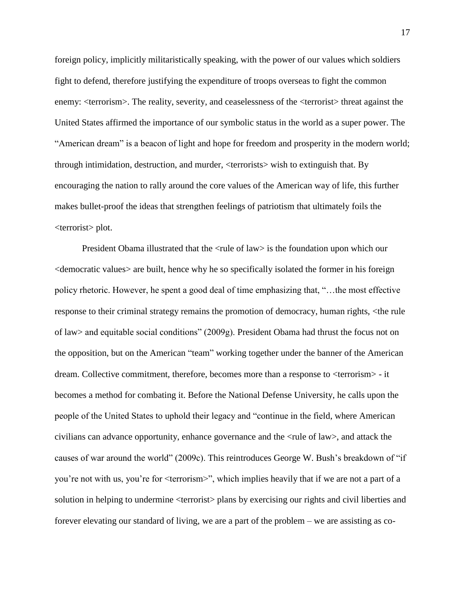foreign policy, implicitly militaristically speaking, with the power of our values which soldiers fight to defend, therefore justifying the expenditure of troops overseas to fight the common enemy: <terrorism>. The reality, severity, and ceaselessness of the <terrorist> threat against the United States affirmed the importance of our symbolic status in the world as a super power. The "American dream" is a beacon of light and hope for freedom and prosperity in the modern world; through intimidation, destruction, and murder, <terrorists> wish to extinguish that. By encouraging the nation to rally around the core values of the American way of life, this further makes bullet-proof the ideas that strengthen feelings of patriotism that ultimately foils the <terrorist> plot.

President Obama illustrated that the <rule of law> is the foundation upon which our <democratic values> are built, hence why he so specifically isolated the former in his foreign policy rhetoric. However, he spent a good deal of time emphasizing that, "…the most effective response to their criminal strategy remains the promotion of democracy, human rights, <the rule of law> and equitable social conditions" (2009g). President Obama had thrust the focus not on the opposition, but on the American "team" working together under the banner of the American dream. Collective commitment, therefore, becomes more than a response to <terrorism> - it becomes a method for combating it. Before the National Defense University, he calls upon the people of the United States to uphold their legacy and "continue in the field, where American civilians can advance opportunity, enhance governance and the <rule of law>, and attack the causes of war around the world" (2009c). This reintroduces George W. Bush's breakdown of "if you're not with us, you're for <terrorism>", which implies heavily that if we are not a part of a solution in helping to undermine <terrorist> plans by exercising our rights and civil liberties and forever elevating our standard of living, we are a part of the problem – we are assisting as co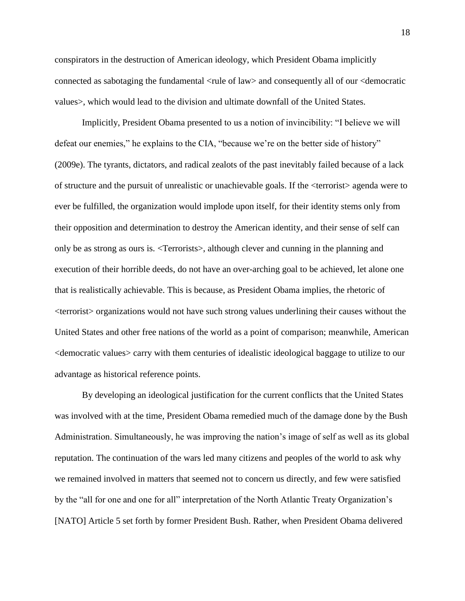conspirators in the destruction of American ideology, which President Obama implicitly connected as sabotaging the fundamental <rule of law> and consequently all of our <democratic values>, which would lead to the division and ultimate downfall of the United States.

Implicitly, President Obama presented to us a notion of invincibility: "I believe we will defeat our enemies," he explains to the CIA, "because we're on the better side of history" (2009e). The tyrants, dictators, and radical zealots of the past inevitably failed because of a lack of structure and the pursuit of unrealistic or unachievable goals. If the <terrorist> agenda were to ever be fulfilled, the organization would implode upon itself, for their identity stems only from their opposition and determination to destroy the American identity, and their sense of self can only be as strong as ours is. <Terrorists>, although clever and cunning in the planning and execution of their horrible deeds, do not have an over-arching goal to be achieved, let alone one that is realistically achievable. This is because, as President Obama implies, the rhetoric of <terrorist> organizations would not have such strong values underlining their causes without the United States and other free nations of the world as a point of comparison; meanwhile, American <democratic values> carry with them centuries of idealistic ideological baggage to utilize to our advantage as historical reference points.

By developing an ideological justification for the current conflicts that the United States was involved with at the time, President Obama remedied much of the damage done by the Bush Administration. Simultaneously, he was improving the nation's image of self as well as its global reputation. The continuation of the wars led many citizens and peoples of the world to ask why we remained involved in matters that seemed not to concern us directly, and few were satisfied by the "all for one and one for all" interpretation of the North Atlantic Treaty Organization's [NATO] Article 5 set forth by former President Bush. Rather, when President Obama delivered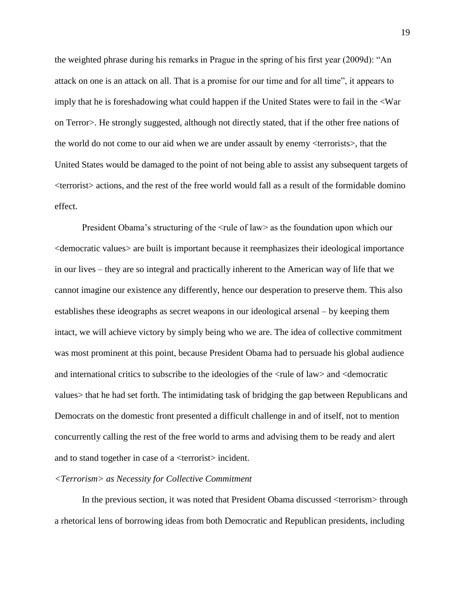the weighted phrase during his remarks in Prague in the spring of his first year (2009d): "An attack on one is an attack on all. That is a promise for our time and for all time", it appears to imply that he is foreshadowing what could happen if the United States were to fail in the <War on Terror>. He strongly suggested, although not directly stated, that if the other free nations of the world do not come to our aid when we are under assault by enemy <terrorists>, that the United States would be damaged to the point of not being able to assist any subsequent targets of <terrorist> actions, and the rest of the free world would fall as a result of the formidable domino effect.

President Obama's structuring of the <rule of law> as the foundation upon which our <democratic values> are built is important because it reemphasizes their ideological importance in our lives – they are so integral and practically inherent to the American way of life that we cannot imagine our existence any differently, hence our desperation to preserve them. This also establishes these ideographs as secret weapons in our ideological arsenal – by keeping them intact, we will achieve victory by simply being who we are. The idea of collective commitment was most prominent at this point, because President Obama had to persuade his global audience and international critics to subscribe to the ideologies of the <rule of law> and <democratic values> that he had set forth. The intimidating task of bridging the gap between Republicans and Democrats on the domestic front presented a difficult challenge in and of itself, not to mention concurrently calling the rest of the free world to arms and advising them to be ready and alert and to stand together in case of a <terrorist> incident.

# *<Terrorism> as Necessity for Collective Commitment*

In the previous section, it was noted that President Obama discussed <terrorism> through a rhetorical lens of borrowing ideas from both Democratic and Republican presidents, including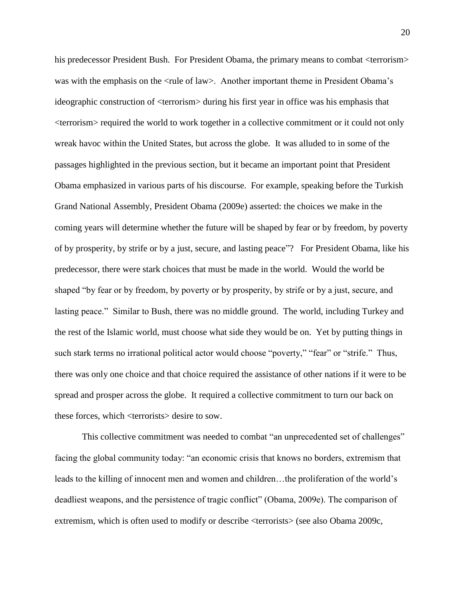his predecessor President Bush. For President Obama, the primary means to combat  $\langle$  terrorism $\rangle$ was with the emphasis on the <rule of law>. Another important theme in President Obama's ideographic construction of <terrorism> during his first year in office was his emphasis that <terrorism> required the world to work together in a collective commitment or it could not only wreak havoc within the United States, but across the globe. It was alluded to in some of the passages highlighted in the previous section, but it became an important point that President Obama emphasized in various parts of his discourse. For example, speaking before the Turkish Grand National Assembly, President Obama (2009e) asserted: the choices we make in the coming years will determine whether the future will be shaped by fear or by freedom, by poverty of by prosperity, by strife or by a just, secure, and lasting peace"? For President Obama, like his predecessor, there were stark choices that must be made in the world. Would the world be shaped "by fear or by freedom, by poverty or by prosperity, by strife or by a just, secure, and lasting peace." Similar to Bush, there was no middle ground. The world, including Turkey and the rest of the Islamic world, must choose what side they would be on. Yet by putting things in such stark terms no irrational political actor would choose "poverty," "fear" or "strife." Thus, there was only one choice and that choice required the assistance of other nations if it were to be spread and prosper across the globe. It required a collective commitment to turn our back on these forces, which <terrorists> desire to sow.

This collective commitment was needed to combat "an unprecedented set of challenges" facing the global community today: "an economic crisis that knows no borders, extremism that leads to the killing of innocent men and women and children…the proliferation of the world's deadliest weapons, and the persistence of tragic conflict" (Obama, 2009e). The comparison of extremism, which is often used to modify or describe <terrorists> (see also Obama 2009c,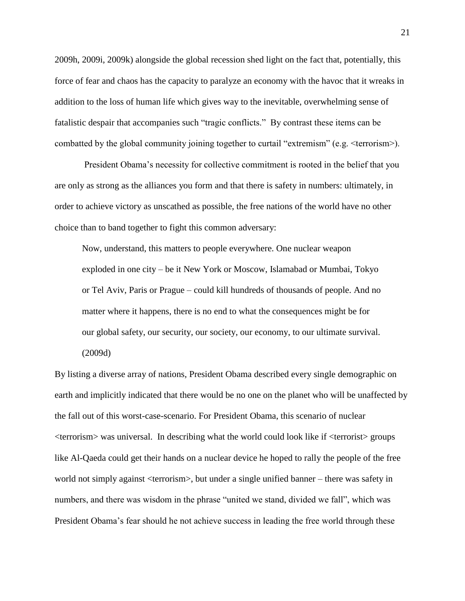2009h, 2009i, 2009k) alongside the global recession shed light on the fact that, potentially, this force of fear and chaos has the capacity to paralyze an economy with the havoc that it wreaks in addition to the loss of human life which gives way to the inevitable, overwhelming sense of fatalistic despair that accompanies such "tragic conflicts." By contrast these items can be combatted by the global community joining together to curtail "extremism" (e.g. <terrorism>).

President Obama's necessity for collective commitment is rooted in the belief that you are only as strong as the alliances you form and that there is safety in numbers: ultimately, in order to achieve victory as unscathed as possible, the free nations of the world have no other choice than to band together to fight this common adversary:

Now, understand, this matters to people everywhere. One nuclear weapon exploded in one city – be it New York or Moscow, Islamabad or Mumbai, Tokyo or Tel Aviv, Paris or Prague – could kill hundreds of thousands of people. And no matter where it happens, there is no end to what the consequences might be for our global safety, our security, our society, our economy, to our ultimate survival. (2009d)

By listing a diverse array of nations, President Obama described every single demographic on earth and implicitly indicated that there would be no one on the planet who will be unaffected by the fall out of this worst-case-scenario. For President Obama, this scenario of nuclear <terrorism> was universal. In describing what the world could look like if <terrorist> groups like Al-Qaeda could get their hands on a nuclear device he hoped to rally the people of the free world not simply against <terrorism>, but under a single unified banner – there was safety in numbers, and there was wisdom in the phrase "united we stand, divided we fall", which was President Obama's fear should he not achieve success in leading the free world through these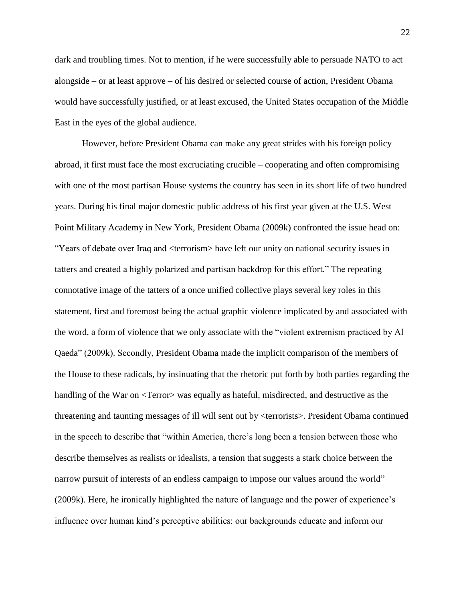dark and troubling times. Not to mention, if he were successfully able to persuade NATO to act alongside – or at least approve – of his desired or selected course of action, President Obama would have successfully justified, or at least excused, the United States occupation of the Middle East in the eyes of the global audience.

However, before President Obama can make any great strides with his foreign policy abroad, it first must face the most excruciating crucible – cooperating and often compromising with one of the most partisan House systems the country has seen in its short life of two hundred years. During his final major domestic public address of his first year given at the U.S. West Point Military Academy in New York, President Obama (2009k) confronted the issue head on: "Years of debate over Iraq and <terrorism> have left our unity on national security issues in tatters and created a highly polarized and partisan backdrop for this effort." The repeating connotative image of the tatters of a once unified collective plays several key roles in this statement, first and foremost being the actual graphic violence implicated by and associated with the word, a form of violence that we only associate with the "violent extremism practiced by Al Qaeda" (2009k). Secondly, President Obama made the implicit comparison of the members of the House to these radicals, by insinuating that the rhetoric put forth by both parties regarding the handling of the War on <Terror> was equally as hateful, misdirected, and destructive as the threatening and taunting messages of ill will sent out by <terrorists>. President Obama continued in the speech to describe that "within America, there's long been a tension between those who describe themselves as realists or idealists, a tension that suggests a stark choice between the narrow pursuit of interests of an endless campaign to impose our values around the world" (2009k). Here, he ironically highlighted the nature of language and the power of experience's influence over human kind's perceptive abilities: our backgrounds educate and inform our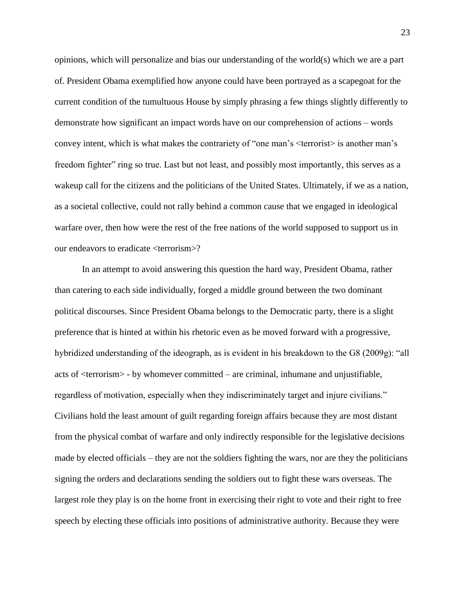opinions, which will personalize and bias our understanding of the world(s) which we are a part of. President Obama exemplified how anyone could have been portrayed as a scapegoat for the current condition of the tumultuous House by simply phrasing a few things slightly differently to demonstrate how significant an impact words have on our comprehension of actions – words convey intent, which is what makes the contrariety of "one man's <terrorist> is another man's freedom fighter" ring so true. Last but not least, and possibly most importantly, this serves as a wakeup call for the citizens and the politicians of the United States. Ultimately, if we as a nation, as a societal collective, could not rally behind a common cause that we engaged in ideological warfare over, then how were the rest of the free nations of the world supposed to support us in our endeavors to eradicate <terrorism>?

In an attempt to avoid answering this question the hard way, President Obama, rather than catering to each side individually, forged a middle ground between the two dominant political discourses. Since President Obama belongs to the Democratic party, there is a slight preference that is hinted at within his rhetoric even as he moved forward with a progressive, hybridized understanding of the ideograph, as is evident in his breakdown to the G8 (2009g): "all acts of <terrorism> - by whomever committed – are criminal, inhumane and unjustifiable, regardless of motivation, especially when they indiscriminately target and injure civilians." Civilians hold the least amount of guilt regarding foreign affairs because they are most distant from the physical combat of warfare and only indirectly responsible for the legislative decisions made by elected officials – they are not the soldiers fighting the wars, nor are they the politicians signing the orders and declarations sending the soldiers out to fight these wars overseas. The largest role they play is on the home front in exercising their right to vote and their right to free speech by electing these officials into positions of administrative authority. Because they were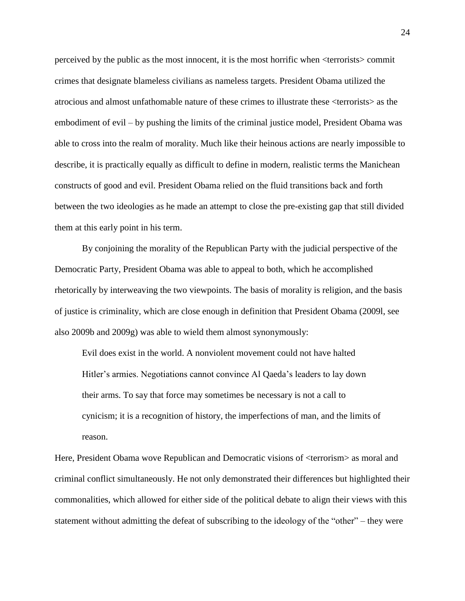perceived by the public as the most innocent, it is the most horrific when <terrorists> commit crimes that designate blameless civilians as nameless targets. President Obama utilized the atrocious and almost unfathomable nature of these crimes to illustrate these <terrorists> as the embodiment of evil – by pushing the limits of the criminal justice model, President Obama was able to cross into the realm of morality. Much like their heinous actions are nearly impossible to describe, it is practically equally as difficult to define in modern, realistic terms the Manichean constructs of good and evil. President Obama relied on the fluid transitions back and forth between the two ideologies as he made an attempt to close the pre-existing gap that still divided them at this early point in his term.

By conjoining the morality of the Republican Party with the judicial perspective of the Democratic Party, President Obama was able to appeal to both, which he accomplished rhetorically by interweaving the two viewpoints. The basis of morality is religion, and the basis of justice is criminality, which are close enough in definition that President Obama (2009l, see also 2009b and 2009g) was able to wield them almost synonymously:

Evil does exist in the world. A nonviolent movement could not have halted Hitler's armies. Negotiations cannot convince Al Qaeda's leaders to lay down their arms. To say that force may sometimes be necessary is not a call to cynicism; it is a recognition of history, the imperfections of man, and the limits of reason.

Here, President Obama wove Republican and Democratic visions of  $\alpha$  terrorism as moral and criminal conflict simultaneously. He not only demonstrated their differences but highlighted their commonalities, which allowed for either side of the political debate to align their views with this statement without admitting the defeat of subscribing to the ideology of the "other" – they were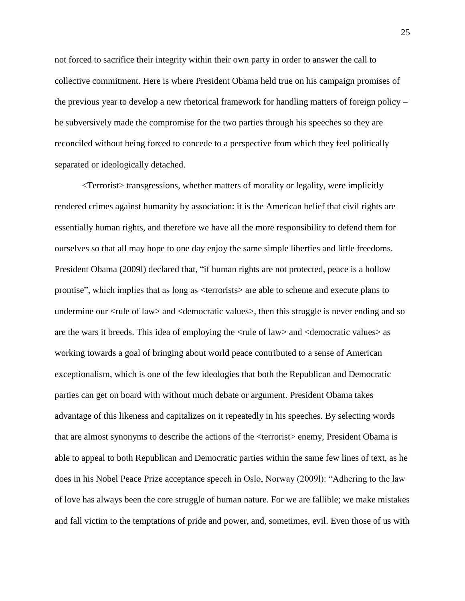not forced to sacrifice their integrity within their own party in order to answer the call to collective commitment. Here is where President Obama held true on his campaign promises of the previous year to develop a new rhetorical framework for handling matters of foreign policy – he subversively made the compromise for the two parties through his speeches so they are reconciled without being forced to concede to a perspective from which they feel politically separated or ideologically detached.

<Terrorist> transgressions, whether matters of morality or legality, were implicitly rendered crimes against humanity by association: it is the American belief that civil rights are essentially human rights, and therefore we have all the more responsibility to defend them for ourselves so that all may hope to one day enjoy the same simple liberties and little freedoms. President Obama (2009l) declared that, "if human rights are not protected, peace is a hollow promise", which implies that as long as <terrorists> are able to scheme and execute plans to undermine our <rule of law> and <democratic values>, then this struggle is never ending and so are the wars it breeds. This idea of employing the <rule of law> and <democratic values> as working towards a goal of bringing about world peace contributed to a sense of American exceptionalism, which is one of the few ideologies that both the Republican and Democratic parties can get on board with without much debate or argument. President Obama takes advantage of this likeness and capitalizes on it repeatedly in his speeches. By selecting words that are almost synonyms to describe the actions of the <terrorist> enemy, President Obama is able to appeal to both Republican and Democratic parties within the same few lines of text, as he does in his Nobel Peace Prize acceptance speech in Oslo, Norway (2009l): "Adhering to the law of love has always been the core struggle of human nature. For we are fallible; we make mistakes and fall victim to the temptations of pride and power, and, sometimes, evil. Even those of us with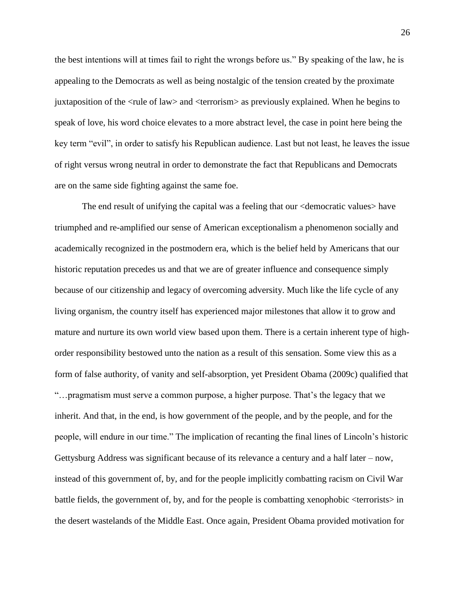the best intentions will at times fail to right the wrongs before us." By speaking of the law, he is appealing to the Democrats as well as being nostalgic of the tension created by the proximate juxtaposition of the <rule of law> and <terrorism> as previously explained. When he begins to speak of love, his word choice elevates to a more abstract level, the case in point here being the key term "evil", in order to satisfy his Republican audience. Last but not least, he leaves the issue of right versus wrong neutral in order to demonstrate the fact that Republicans and Democrats are on the same side fighting against the same foe.

The end result of unifying the capital was a feeling that our <democratic values> have triumphed and re-amplified our sense of American exceptionalism a phenomenon socially and academically recognized in the postmodern era, which is the belief held by Americans that our historic reputation precedes us and that we are of greater influence and consequence simply because of our citizenship and legacy of overcoming adversity. Much like the life cycle of any living organism, the country itself has experienced major milestones that allow it to grow and mature and nurture its own world view based upon them. There is a certain inherent type of highorder responsibility bestowed unto the nation as a result of this sensation. Some view this as a form of false authority, of vanity and self-absorption, yet President Obama (2009c) qualified that "…pragmatism must serve a common purpose, a higher purpose. That's the legacy that we inherit. And that, in the end, is how government of the people, and by the people, and for the people, will endure in our time." The implication of recanting the final lines of Lincoln's historic Gettysburg Address was significant because of its relevance a century and a half later – now, instead of this government of, by, and for the people implicitly combatting racism on Civil War battle fields, the government of, by, and for the people is combatting xenophobic <terrorists> in the desert wastelands of the Middle East. Once again, President Obama provided motivation for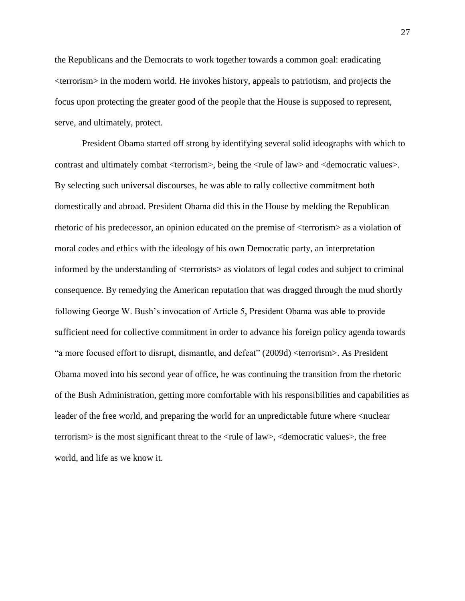the Republicans and the Democrats to work together towards a common goal: eradicating <terrorism> in the modern world. He invokes history, appeals to patriotism, and projects the focus upon protecting the greater good of the people that the House is supposed to represent, serve, and ultimately, protect.

President Obama started off strong by identifying several solid ideographs with which to contrast and ultimately combat <terrorism>, being the <rule of law> and <democratic values>. By selecting such universal discourses, he was able to rally collective commitment both domestically and abroad. President Obama did this in the House by melding the Republican rhetoric of his predecessor, an opinion educated on the premise of <terrorism> as a violation of moral codes and ethics with the ideology of his own Democratic party, an interpretation informed by the understanding of <terrorists> as violators of legal codes and subject to criminal consequence. By remedying the American reputation that was dragged through the mud shortly following George W. Bush's invocation of Article 5, President Obama was able to provide sufficient need for collective commitment in order to advance his foreign policy agenda towards "a more focused effort to disrupt, dismantle, and defeat" (2009d) <terrorism>. As President Obama moved into his second year of office, he was continuing the transition from the rhetoric of the Bush Administration, getting more comfortable with his responsibilities and capabilities as leader of the free world, and preparing the world for an unpredictable future where <nuclear terrorism> is the most significant threat to the <rule of law>, <democratic values>, the free world, and life as we know it.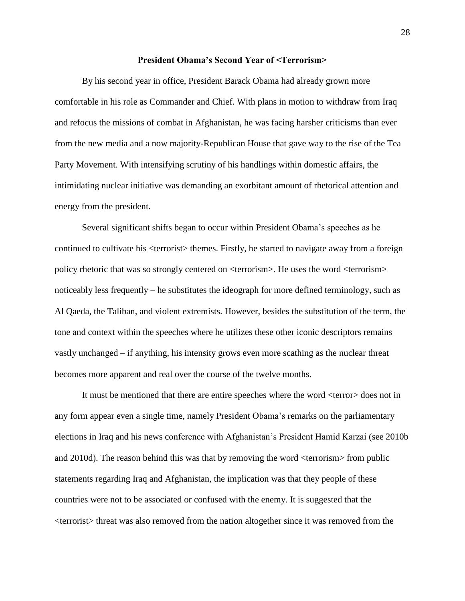# **President Obama's Second Year of <Terrorism>**

By his second year in office, President Barack Obama had already grown more comfortable in his role as Commander and Chief. With plans in motion to withdraw from Iraq and refocus the missions of combat in Afghanistan, he was facing harsher criticisms than ever from the new media and a now majority-Republican House that gave way to the rise of the Tea Party Movement. With intensifying scrutiny of his handlings within domestic affairs, the intimidating nuclear initiative was demanding an exorbitant amount of rhetorical attention and energy from the president.

Several significant shifts began to occur within President Obama's speeches as he continued to cultivate his <terrorist> themes. Firstly, he started to navigate away from a foreign policy rhetoric that was so strongly centered on <terrorism>. He uses the word <terrorism> noticeably less frequently – he substitutes the ideograph for more defined terminology, such as Al Qaeda, the Taliban, and violent extremists. However, besides the substitution of the term, the tone and context within the speeches where he utilizes these other iconic descriptors remains vastly unchanged – if anything, his intensity grows even more scathing as the nuclear threat becomes more apparent and real over the course of the twelve months.

It must be mentioned that there are entire speeches where the word <terror> does not in any form appear even a single time, namely President Obama's remarks on the parliamentary elections in Iraq and his news conference with Afghanistan's President Hamid Karzai (see 2010b and 2010d). The reason behind this was that by removing the word <terrorism> from public statements regarding Iraq and Afghanistan, the implication was that they people of these countries were not to be associated or confused with the enemy. It is suggested that the <terrorist> threat was also removed from the nation altogether since it was removed from the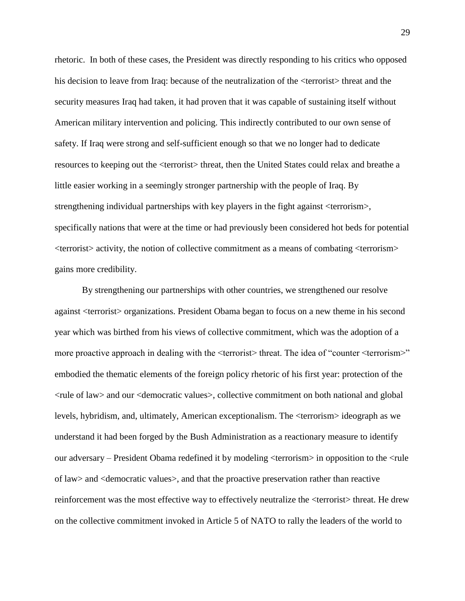rhetoric. In both of these cases, the President was directly responding to his critics who opposed his decision to leave from Iraq: because of the neutralization of the  $\leq$ terrorist $>$  threat and the security measures Iraq had taken, it had proven that it was capable of sustaining itself without American military intervention and policing. This indirectly contributed to our own sense of safety. If Iraq were strong and self-sufficient enough so that we no longer had to dedicate resources to keeping out the <terrorist> threat, then the United States could relax and breathe a little easier working in a seemingly stronger partnership with the people of Iraq. By strengthening individual partnerships with key players in the fight against <terrorism>, specifically nations that were at the time or had previously been considered hot beds for potential <terrorist> activity, the notion of collective commitment as a means of combating <terrorism> gains more credibility.

By strengthening our partnerships with other countries, we strengthened our resolve against <terrorist> organizations. President Obama began to focus on a new theme in his second year which was birthed from his views of collective commitment, which was the adoption of a more proactive approach in dealing with the  $\leq$ terrorist $>$ threat. The idea of "counter  $\leq$ terrorism $>$ " embodied the thematic elements of the foreign policy rhetoric of his first year: protection of the <rule of law> and our <democratic values>, collective commitment on both national and global levels, hybridism, and, ultimately, American exceptionalism. The <terrorism> ideograph as we understand it had been forged by the Bush Administration as a reactionary measure to identify our adversary – President Obama redefined it by modeling <terrorism> in opposition to the <rule of law> and <democratic values>, and that the proactive preservation rather than reactive reinforcement was the most effective way to effectively neutralize the <terrorist> threat. He drew on the collective commitment invoked in Article 5 of NATO to rally the leaders of the world to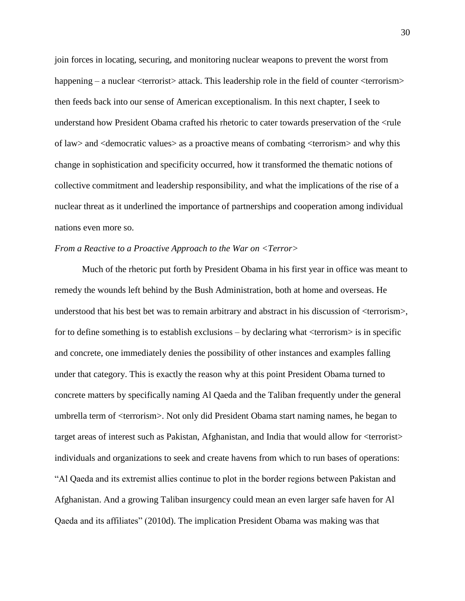join forces in locating, securing, and monitoring nuclear weapons to prevent the worst from happening – a nuclear <terrorist> attack. This leadership role in the field of counter <terrorism> then feeds back into our sense of American exceptionalism. In this next chapter, I seek to understand how President Obama crafted his rhetoric to cater towards preservation of the <rule of law> and <democratic values> as a proactive means of combating <terrorism> and why this change in sophistication and specificity occurred, how it transformed the thematic notions of collective commitment and leadership responsibility, and what the implications of the rise of a nuclear threat as it underlined the importance of partnerships and cooperation among individual nations even more so.

# *From a Reactive to a Proactive Approach to the War on <Terror>*

Much of the rhetoric put forth by President Obama in his first year in office was meant to remedy the wounds left behind by the Bush Administration, both at home and overseas. He understood that his best bet was to remain arbitrary and abstract in his discussion of <terrorism>, for to define something is to establish exclusions  $-$  by declaring what  $\langle$  terrorism $\rangle$  is in specific and concrete, one immediately denies the possibility of other instances and examples falling under that category. This is exactly the reason why at this point President Obama turned to concrete matters by specifically naming Al Qaeda and the Taliban frequently under the general umbrella term of <terrorism>. Not only did President Obama start naming names, he began to target areas of interest such as Pakistan, Afghanistan, and India that would allow for <terrorist> individuals and organizations to seek and create havens from which to run bases of operations: "Al Qaeda and its extremist allies continue to plot in the border regions between Pakistan and Afghanistan. And a growing Taliban insurgency could mean an even larger safe haven for Al Qaeda and its affiliates" (2010d). The implication President Obama was making was that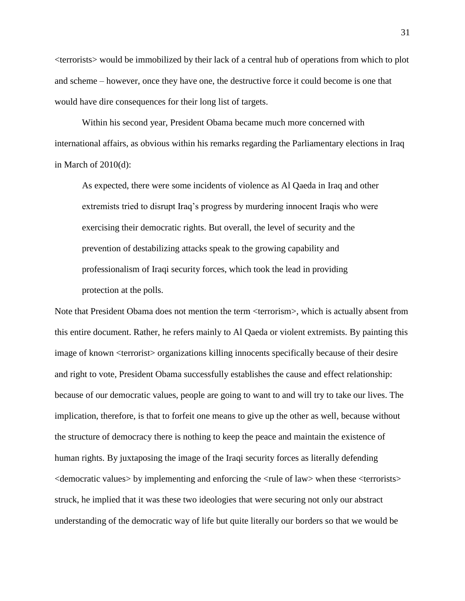<terrorists> would be immobilized by their lack of a central hub of operations from which to plot and scheme – however, once they have one, the destructive force it could become is one that would have dire consequences for their long list of targets.

Within his second year, President Obama became much more concerned with international affairs, as obvious within his remarks regarding the Parliamentary elections in Iraq in March of 2010(d):

As expected, there were some incidents of violence as Al Qaeda in Iraq and other extremists tried to disrupt Iraq's progress by murdering innocent Iraqis who were exercising their democratic rights. But overall, the level of security and the prevention of destabilizing attacks speak to the growing capability and professionalism of Iraqi security forces, which took the lead in providing protection at the polls.

Note that President Obama does not mention the term <terrorism>, which is actually absent from this entire document. Rather, he refers mainly to Al Qaeda or violent extremists. By painting this image of known <terrorist> organizations killing innocents specifically because of their desire and right to vote, President Obama successfully establishes the cause and effect relationship: because of our democratic values, people are going to want to and will try to take our lives. The implication, therefore, is that to forfeit one means to give up the other as well, because without the structure of democracy there is nothing to keep the peace and maintain the existence of human rights. By juxtaposing the image of the Iraqi security forces as literally defending <democratic values> by implementing and enforcing the <rule of law> when these <terrorists> struck, he implied that it was these two ideologies that were securing not only our abstract understanding of the democratic way of life but quite literally our borders so that we would be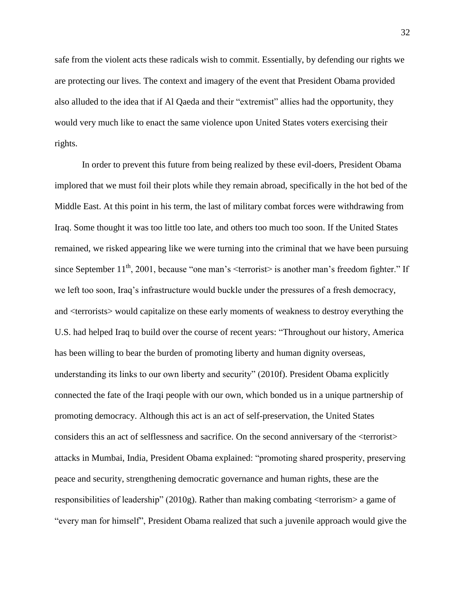safe from the violent acts these radicals wish to commit. Essentially, by defending our rights we are protecting our lives. The context and imagery of the event that President Obama provided also alluded to the idea that if Al Qaeda and their "extremist" allies had the opportunity, they would very much like to enact the same violence upon United States voters exercising their rights.

In order to prevent this future from being realized by these evil-doers, President Obama implored that we must foil their plots while they remain abroad, specifically in the hot bed of the Middle East. At this point in his term, the last of military combat forces were withdrawing from Iraq. Some thought it was too little too late, and others too much too soon. If the United States remained, we risked appearing like we were turning into the criminal that we have been pursuing since September  $11<sup>th</sup>$ , 2001, because "one man's  $\leq$ terrorist> is another man's freedom fighter." If we left too soon, Iraq's infrastructure would buckle under the pressures of a fresh democracy, and <terrorists> would capitalize on these early moments of weakness to destroy everything the U.S. had helped Iraq to build over the course of recent years: "Throughout our history, America has been willing to bear the burden of promoting liberty and human dignity overseas, understanding its links to our own liberty and security" (2010f). President Obama explicitly connected the fate of the Iraqi people with our own, which bonded us in a unique partnership of promoting democracy. Although this act is an act of self-preservation, the United States considers this an act of selflessness and sacrifice. On the second anniversary of the <terrorist> attacks in Mumbai, India, President Obama explained: "promoting shared prosperity, preserving peace and security, strengthening democratic governance and human rights, these are the responsibilities of leadership" (2010g). Rather than making combating <terrorism> a game of "every man for himself", President Obama realized that such a juvenile approach would give the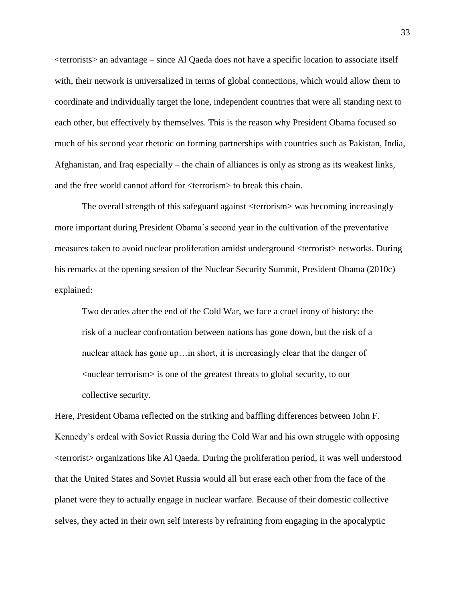<terrorists> an advantage – since Al Qaeda does not have a specific location to associate itself with, their network is universalized in terms of global connections, which would allow them to coordinate and individually target the lone, independent countries that were all standing next to each other, but effectively by themselves. This is the reason why President Obama focused so much of his second year rhetoric on forming partnerships with countries such as Pakistan, India, Afghanistan, and Iraq especially – the chain of alliances is only as strong as its weakest links, and the free world cannot afford for <terrorism> to break this chain.

The overall strength of this safeguard against <terrorism> was becoming increasingly more important during President Obama's second year in the cultivation of the preventative measures taken to avoid nuclear proliferation amidst underground <terrorist> networks. During his remarks at the opening session of the Nuclear Security Summit, President Obama (2010c) explained:

Two decades after the end of the Cold War, we face a cruel irony of history: the risk of a nuclear confrontation between nations has gone down, but the risk of a nuclear attack has gone up…in short, it is increasingly clear that the danger of <nuclear terrorism> is one of the greatest threats to global security, to our collective security.

Here, President Obama reflected on the striking and baffling differences between John F. Kennedy's ordeal with Soviet Russia during the Cold War and his own struggle with opposing <terrorist> organizations like Al Qaeda. During the proliferation period, it was well understood that the United States and Soviet Russia would all but erase each other from the face of the planet were they to actually engage in nuclear warfare. Because of their domestic collective selves, they acted in their own self interests by refraining from engaging in the apocalyptic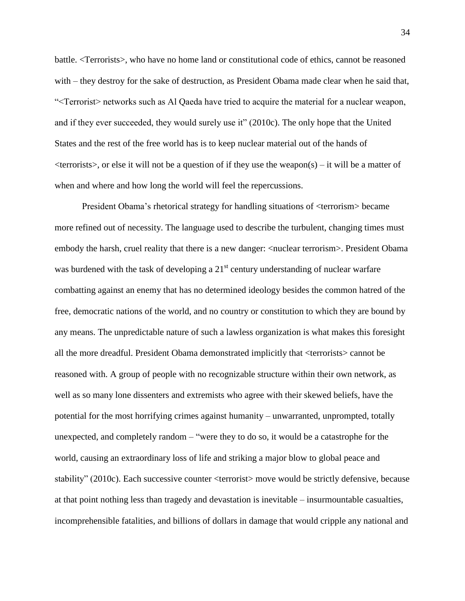battle. <Terrorists>, who have no home land or constitutional code of ethics, cannot be reasoned with – they destroy for the sake of destruction, as President Obama made clear when he said that, "<Terrorist> networks such as Al Qaeda have tried to acquire the material for a nuclear weapon, and if they ever succeeded, they would surely use it" (2010c). The only hope that the United States and the rest of the free world has is to keep nuclear material out of the hands of  $\leq$ terrorists $>$ , or else it will not be a question of if they use the weapon(s) – it will be a matter of when and where and how long the world will feel the repercussions.

President Obama's rhetorical strategy for handling situations of <terrorism> became more refined out of necessity. The language used to describe the turbulent, changing times must embody the harsh, cruel reality that there is a new danger:  $\langle$  nuclear terrorism $\rangle$ . President Obama was burdened with the task of developing a  $21<sup>st</sup>$  century understanding of nuclear warfare combatting against an enemy that has no determined ideology besides the common hatred of the free, democratic nations of the world, and no country or constitution to which they are bound by any means. The unpredictable nature of such a lawless organization is what makes this foresight all the more dreadful. President Obama demonstrated implicitly that <terrorists> cannot be reasoned with. A group of people with no recognizable structure within their own network, as well as so many lone dissenters and extremists who agree with their skewed beliefs, have the potential for the most horrifying crimes against humanity – unwarranted, unprompted, totally unexpected, and completely random – "were they to do so, it would be a catastrophe for the world, causing an extraordinary loss of life and striking a major blow to global peace and stability" (2010c). Each successive counter <terrorist> move would be strictly defensive, because at that point nothing less than tragedy and devastation is inevitable – insurmountable casualties, incomprehensible fatalities, and billions of dollars in damage that would cripple any national and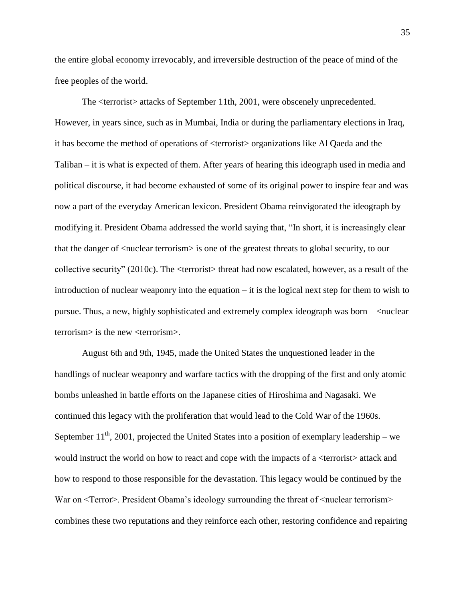the entire global economy irrevocably, and irreversible destruction of the peace of mind of the free peoples of the world.

The <terrorist> attacks of September 11th, 2001, were obscenely unprecedented. However, in years since, such as in Mumbai, India or during the parliamentary elections in Iraq, it has become the method of operations of <terrorist> organizations like Al Qaeda and the Taliban – it is what is expected of them. After years of hearing this ideograph used in media and political discourse, it had become exhausted of some of its original power to inspire fear and was now a part of the everyday American lexicon. President Obama reinvigorated the ideograph by modifying it. President Obama addressed the world saying that, "In short, it is increasingly clear that the danger of <nuclear terrorism> is one of the greatest threats to global security, to our collective security" (2010c). The <terrorist> threat had now escalated, however, as a result of the introduction of nuclear weaponry into the equation – it is the logical next step for them to wish to pursue. Thus, a new, highly sophisticated and extremely complex ideograph was born – <nuclear terrorism> is the new <terrorism>.

August 6th and 9th, 1945, made the United States the unquestioned leader in the handlings of nuclear weaponry and warfare tactics with the dropping of the first and only atomic bombs unleashed in battle efforts on the Japanese cities of Hiroshima and Nagasaki. We continued this legacy with the proliferation that would lead to the Cold War of the 1960s. September  $11^{th}$ , 2001, projected the United States into a position of exemplary leadership – we would instruct the world on how to react and cope with the impacts of a  $\leq$  terrorist $>$  attack and how to respond to those responsible for the devastation. This legacy would be continued by the War on  $\leq$  Terror  $\geq$ . President Obama's ideology surrounding the threat of  $\leq$  nuclear terrorism  $\geq$ combines these two reputations and they reinforce each other, restoring confidence and repairing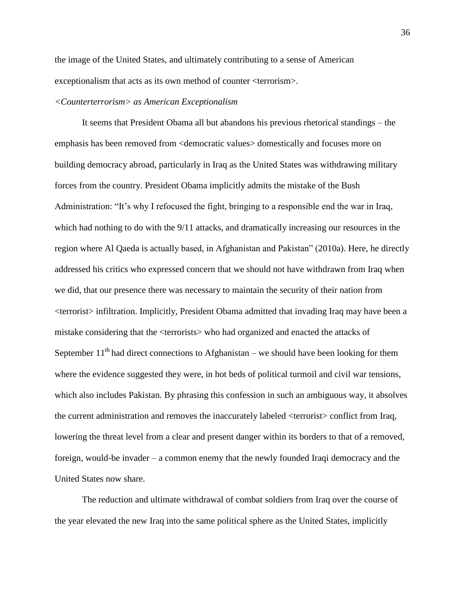the image of the United States, and ultimately contributing to a sense of American exceptionalism that acts as its own method of counter <terrorism>.

# *<Counterterrorism> as American Exceptionalism*

It seems that President Obama all but abandons his previous rhetorical standings – the emphasis has been removed from <democratic values> domestically and focuses more on building democracy abroad, particularly in Iraq as the United States was withdrawing military forces from the country. President Obama implicitly admits the mistake of the Bush Administration: "It's why I refocused the fight, bringing to a responsible end the war in Iraq, which had nothing to do with the  $9/11$  attacks, and dramatically increasing our resources in the region where Al Qaeda is actually based, in Afghanistan and Pakistan" (2010a). Here, he directly addressed his critics who expressed concern that we should not have withdrawn from Iraq when we did, that our presence there was necessary to maintain the security of their nation from <terrorist> infiltration. Implicitly, President Obama admitted that invading Iraq may have been a mistake considering that the <terrorists> who had organized and enacted the attacks of September  $11<sup>th</sup>$  had direct connections to Afghanistan – we should have been looking for them where the evidence suggested they were, in hot beds of political turmoil and civil war tensions, which also includes Pakistan. By phrasing this confession in such an ambiguous way, it absolves the current administration and removes the inaccurately labeled <terrorist> conflict from Iraq, lowering the threat level from a clear and present danger within its borders to that of a removed, foreign, would-be invader – a common enemy that the newly founded Iraqi democracy and the United States now share.

The reduction and ultimate withdrawal of combat soldiers from Iraq over the course of the year elevated the new Iraq into the same political sphere as the United States, implicitly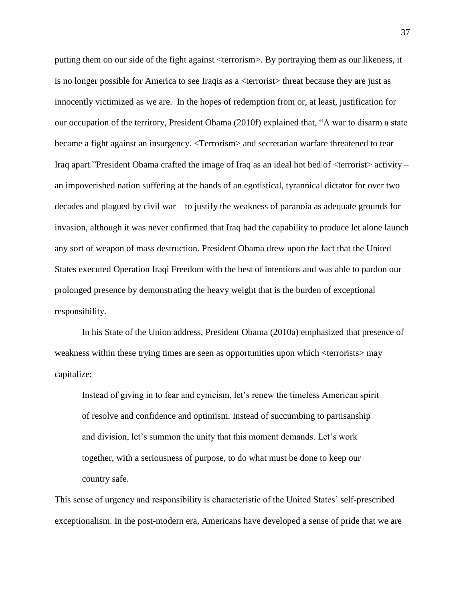putting them on our side of the fight against <terrorism>. By portraying them as our likeness, it is no longer possible for America to see Iraqis as a <terrorist> threat because they are just as innocently victimized as we are. In the hopes of redemption from or, at least, justification for our occupation of the territory, President Obama (2010f) explained that, "A war to disarm a state became a fight against an insurgency. <Terrorism> and secretarian warfare threatened to tear Iraq apart."President Obama crafted the image of Iraq as an ideal hot bed of <terrorist> activity – an impoverished nation suffering at the hands of an egotistical, tyrannical dictator for over two decades and plagued by civil war – to justify the weakness of paranoia as adequate grounds for invasion, although it was never confirmed that Iraq had the capability to produce let alone launch any sort of weapon of mass destruction. President Obama drew upon the fact that the United States executed Operation Iraqi Freedom with the best of intentions and was able to pardon our prolonged presence by demonstrating the heavy weight that is the burden of exceptional responsibility.

In his State of the Union address, President Obama (2010a) emphasized that presence of weakness within these trying times are seen as opportunities upon which <terrorists> may capitalize:

Instead of giving in to fear and cynicism, let's renew the timeless American spirit of resolve and confidence and optimism. Instead of succumbing to partisanship and division, let's summon the unity that this moment demands. Let's work together, with a seriousness of purpose, to do what must be done to keep our country safe.

This sense of urgency and responsibility is characteristic of the United States' self-prescribed exceptionalism. In the post-modern era, Americans have developed a sense of pride that we are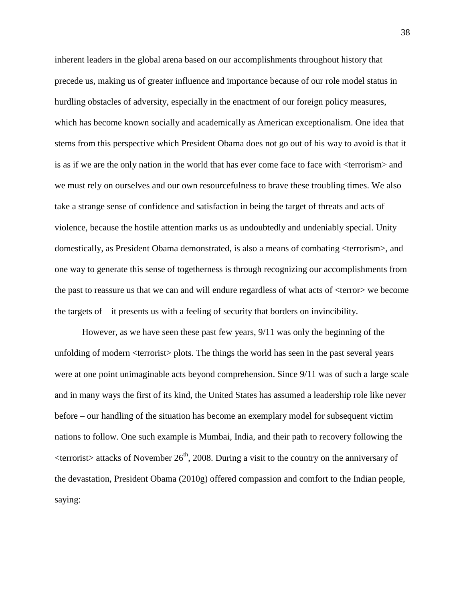inherent leaders in the global arena based on our accomplishments throughout history that precede us, making us of greater influence and importance because of our role model status in hurdling obstacles of adversity, especially in the enactment of our foreign policy measures, which has become known socially and academically as American exceptionalism. One idea that stems from this perspective which President Obama does not go out of his way to avoid is that it is as if we are the only nation in the world that has ever come face to face with <terrorism> and we must rely on ourselves and our own resourcefulness to brave these troubling times. We also take a strange sense of confidence and satisfaction in being the target of threats and acts of violence, because the hostile attention marks us as undoubtedly and undeniably special. Unity domestically, as President Obama demonstrated, is also a means of combating <terrorism>, and one way to generate this sense of togetherness is through recognizing our accomplishments from the past to reassure us that we can and will endure regardless of what acts of <terror> we become the targets of – it presents us with a feeling of security that borders on invincibility.

However, as we have seen these past few years, 9/11 was only the beginning of the unfolding of modern <terrorist> plots. The things the world has seen in the past several years were at one point unimaginable acts beyond comprehension. Since 9/11 was of such a large scale and in many ways the first of its kind, the United States has assumed a leadership role like never before – our handling of the situation has become an exemplary model for subsequent victim nations to follow. One such example is Mumbai, India, and their path to recovery following the  $\leq$ terrorist $>$  attacks of November 26<sup>th</sup>, 2008. During a visit to the country on the anniversary of the devastation, President Obama (2010g) offered compassion and comfort to the Indian people, saying: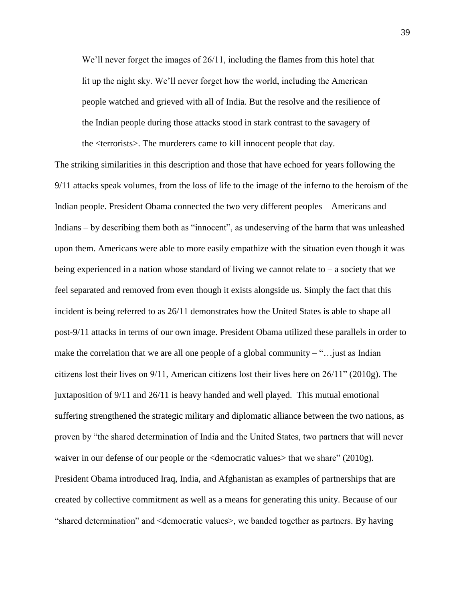We'll never forget the images of 26/11, including the flames from this hotel that lit up the night sky. We'll never forget how the world, including the American people watched and grieved with all of India. But the resolve and the resilience of the Indian people during those attacks stood in stark contrast to the savagery of the <terrorists>. The murderers came to kill innocent people that day.

The striking similarities in this description and those that have echoed for years following the 9/11 attacks speak volumes, from the loss of life to the image of the inferno to the heroism of the Indian people. President Obama connected the two very different peoples – Americans and Indians – by describing them both as "innocent", as undeserving of the harm that was unleashed upon them. Americans were able to more easily empathize with the situation even though it was being experienced in a nation whose standard of living we cannot relate to  $-$  a society that we feel separated and removed from even though it exists alongside us. Simply the fact that this incident is being referred to as 26/11 demonstrates how the United States is able to shape all post-9/11 attacks in terms of our own image. President Obama utilized these parallels in order to make the correlation that we are all one people of a global community  $-\tilde{\ }$ ... just as Indian citizens lost their lives on 9/11, American citizens lost their lives here on 26/11" (2010g). The juxtaposition of 9/11 and 26/11 is heavy handed and well played. This mutual emotional suffering strengthened the strategic military and diplomatic alliance between the two nations, as proven by "the shared determination of India and the United States, two partners that will never waiver in our defense of our people or the <democratic values> that we share" (2010g). President Obama introduced Iraq, India, and Afghanistan as examples of partnerships that are created by collective commitment as well as a means for generating this unity. Because of our "shared determination" and <democratic values>, we banded together as partners. By having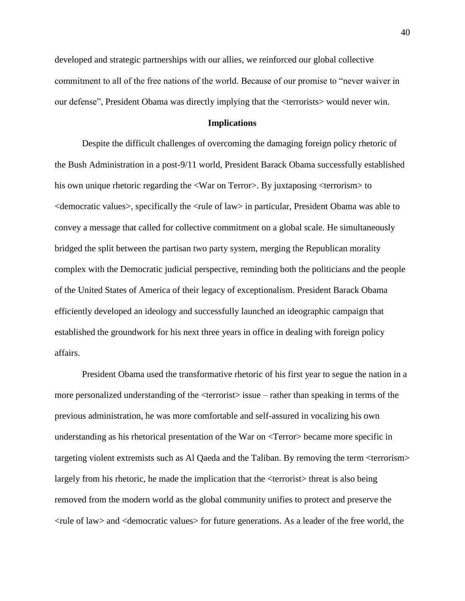developed and strategic partnerships with our allies, we reinforced our global collective commitment to all of the free nations of the world. Because of our promise to "never waiver in our defense", President Obama was directly implying that the <terrorists> would never win.

# **Implications**

Despite the difficult challenges of overcoming the damaging foreign policy rhetoric of the Bush Administration in a post-9/11 world, President Barack Obama successfully established his own unique rhetoric regarding the <War on Terror>. By juxtaposing <terrorism> to  $\leq$ democratic values $\geq$ , specifically the  $\leq$ ule of law $\geq$  in particular, President Obama was able to convey a message that called for collective commitment on a global scale. He simultaneously bridged the split between the partisan two party system, merging the Republican morality complex with the Democratic judicial perspective, reminding both the politicians and the people of the United States of America of their legacy of exceptionalism. President Barack Obama efficiently developed an ideology and successfully launched an ideographic campaign that established the groundwork for his next three years in office in dealing with foreign policy affairs.

President Obama used the transformative rhetoric of his first year to segue the nation in a more personalized understanding of the <terrorist> issue – rather than speaking in terms of the previous administration, he was more comfortable and self-assured in vocalizing his own understanding as his rhetorical presentation of the War on <Terror> became more specific in targeting violent extremists such as Al Qaeda and the Taliban. By removing the term <terrorism> largely from his rhetoric, he made the implication that the  $\langle$ terrorist $\rangle$  threat is also being removed from the modern world as the global community unifies to protect and preserve the <rule of law> and <democratic values> for future generations. As a leader of the free world, the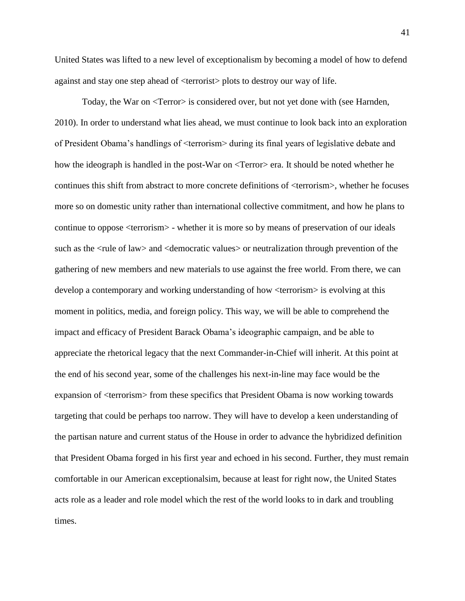United States was lifted to a new level of exceptionalism by becoming a model of how to defend against and stay one step ahead of <terrorist> plots to destroy our way of life.

Today, the War on <Terror> is considered over, but not yet done with (see Harnden, 2010). In order to understand what lies ahead, we must continue to look back into an exploration of President Obama's handlings of <terrorism> during its final years of legislative debate and how the ideograph is handled in the post-War on <Terror> era. It should be noted whether he continues this shift from abstract to more concrete definitions of <terrorism>, whether he focuses more so on domestic unity rather than international collective commitment, and how he plans to continue to oppose <terrorism> - whether it is more so by means of preservation of our ideals such as the <rule of law> and <democratic values> or neutralization through prevention of the gathering of new members and new materials to use against the free world. From there, we can develop a contemporary and working understanding of how <terrorism> is evolving at this moment in politics, media, and foreign policy. This way, we will be able to comprehend the impact and efficacy of President Barack Obama's ideographic campaign, and be able to appreciate the rhetorical legacy that the next Commander-in-Chief will inherit. At this point at the end of his second year, some of the challenges his next-in-line may face would be the expansion of <terrorism> from these specifics that President Obama is now working towards targeting that could be perhaps too narrow. They will have to develop a keen understanding of the partisan nature and current status of the House in order to advance the hybridized definition that President Obama forged in his first year and echoed in his second. Further, they must remain comfortable in our American exceptionalsim, because at least for right now, the United States acts role as a leader and role model which the rest of the world looks to in dark and troubling times.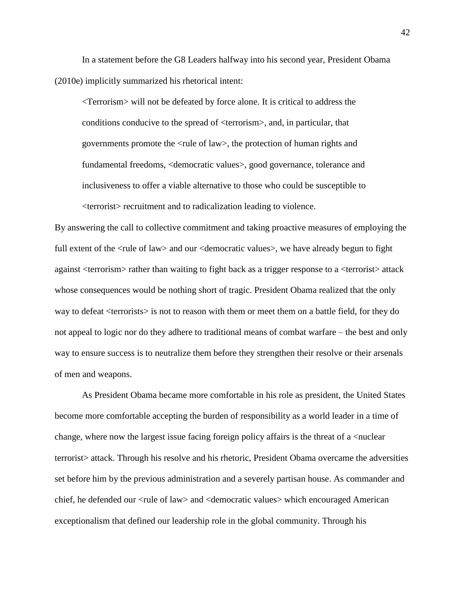In a statement before the G8 Leaders halfway into his second year, President Obama (2010e) implicitly summarized his rhetorical intent:

<Terrorism> will not be defeated by force alone. It is critical to address the conditions conducive to the spread of <terrorism>, and, in particular, that governments promote the <rule of law>, the protection of human rights and fundamental freedoms, <democratic values>, good governance, tolerance and inclusiveness to offer a viable alternative to those who could be susceptible to <terrorist> recruitment and to radicalization leading to violence.

By answering the call to collective commitment and taking proactive measures of employing the full extent of the  $\langle$ rule of law $\rangle$  and our  $\langle$  democratic values $\rangle$ , we have already begun to fight against <terrorism> rather than waiting to fight back as a trigger response to a <terrorist> attack whose consequences would be nothing short of tragic. President Obama realized that the only way to defeat <terrorists> is not to reason with them or meet them on a battle field, for they do not appeal to logic nor do they adhere to traditional means of combat warfare – the best and only way to ensure success is to neutralize them before they strengthen their resolve or their arsenals of men and weapons.

As President Obama became more comfortable in his role as president, the United States become more comfortable accepting the burden of responsibility as a world leader in a time of change, where now the largest issue facing foreign policy affairs is the threat of a  $\alpha$  -nuclear terrorist> attack. Through his resolve and his rhetoric, President Obama overcame the adversities set before him by the previous administration and a severely partisan house. As commander and chief, he defended our <rule of law> and <democratic values> which encouraged American exceptionalism that defined our leadership role in the global community. Through his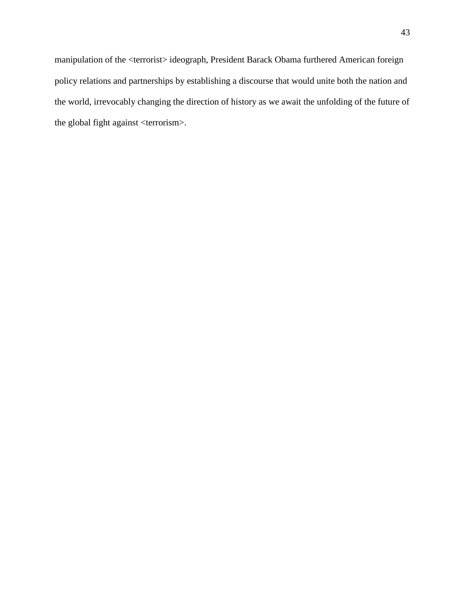manipulation of the <terrorist> ideograph, President Barack Obama furthered American foreign policy relations and partnerships by establishing a discourse that would unite both the nation and the world, irrevocably changing the direction of history as we await the unfolding of the future of the global fight against <terrorism>.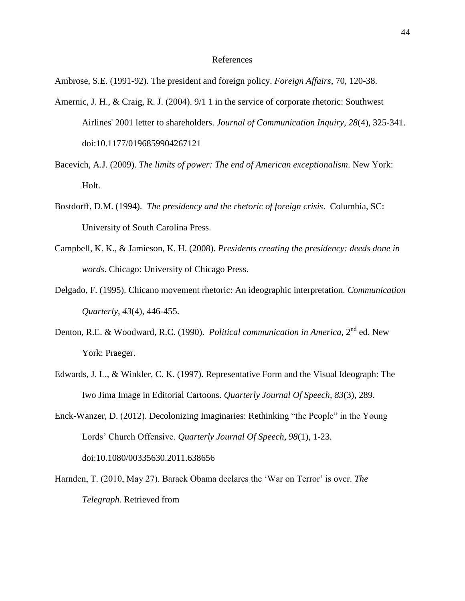#### References

Ambrose, S.E. (1991-92). The president and foreign policy. *Foreign Affairs*, 70, 120-38.

- Amernic, J. H., & Craig, R. J. (2004). 9/1 1 in the service of corporate rhetoric: Southwest Airlines' 2001 letter to shareholders. *Journal of Communication Inquiry*, *28*(4), 325-341. doi:10.1177/0196859904267121
- Bacevich, A.J. (2009). *The limits of power: The end of American exceptionalism*. New York: Holt.
- Bostdorff, D.M. (1994). *The presidency and the rhetoric of foreign crisis*. Columbia, SC: University of South Carolina Press.
- Campbell, K. K., & Jamieson, K. H. (2008). *Presidents creating the presidency: deeds done in words*. Chicago: University of Chicago Press.
- Delgado, F. (1995). Chicano movement rhetoric: An ideographic interpretation. *Communication Quarterly*, *43*(4), 446-455.
- Denton, R.E. & Woodward, R.C. (1990). *Political communication in America*, 2<sup>nd</sup> ed. New York: Praeger.
- Edwards, J. L., & Winkler, C. K. (1997). Representative Form and the Visual Ideograph: The Iwo Jima Image in Editorial Cartoons. *Quarterly Journal Of Speech*, *83*(3), 289.
- Enck-Wanzer, D. (2012). Decolonizing Imaginaries: Rethinking "the People" in the Young Lords' Church Offensive. *Quarterly Journal Of Speech*, *98*(1), 1-23. doi:10.1080/00335630.2011.638656
- Harnden, T. (2010, May 27). Barack Obama declares the 'War on Terror' is over. *The Telegraph.* Retrieved from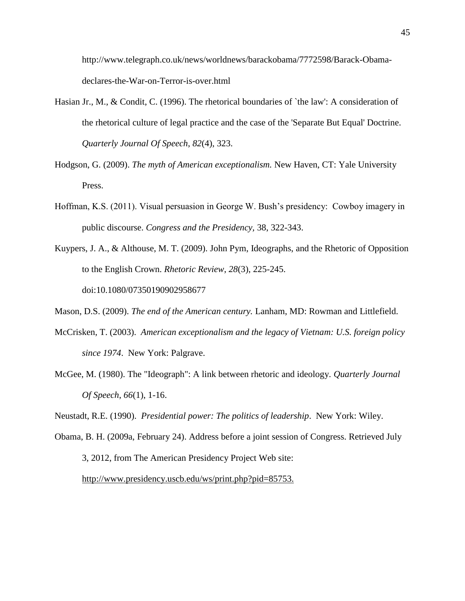http://www.telegraph.co.uk/news/worldnews/barackobama/7772598/Barack-Obamadeclares-the-War-on-Terror-is-over.html

- Hasian Jr., M., & Condit, C. (1996). The rhetorical boundaries of `the law': A consideration of the rhetorical culture of legal practice and the case of the 'Separate But Equal' Doctrine. *Quarterly Journal Of Speech*, *82*(4), 323.
- Hodgson, G. (2009). *The myth of American exceptionalism.* New Haven, CT: Yale University Press.
- Hoffman, K.S. (2011). Visual persuasion in George W. Bush's presidency: Cowboy imagery in public discourse. *Congress and the Presidency,* 38, 322-343.
- Kuypers, J. A., & Althouse, M. T. (2009). John Pym, Ideographs, and the Rhetoric of Opposition to the English Crown. *Rhetoric Review*, *28*(3), 225-245. doi:10.1080/07350190902958677

Mason, D.S. (2009). *The end of the American century.* Lanham, MD: Rowman and Littlefield.

- McCrisken, T. (2003). *American exceptionalism and the legacy of Vietnam: U.S. foreign policy since 1974*. New York: Palgrave.
- McGee, M. (1980). The "Ideograph": A link between rhetoric and ideology. *Quarterly Journal Of Speech*, *66*(1), 1-16.

Neustadt, R.E. (1990). *Presidential power: The politics of leadership*. New York: Wiley.

Obama, B. H. (2009a, February 24). Address before a joint session of Congress. Retrieved July 3, 2012, from The American Presidency Project Web site: [http://www.presidency.uscb.edu/ws/print.php?pid=85753.](http://www.presidency.uscb.edu/ws/print.php?pid=85753)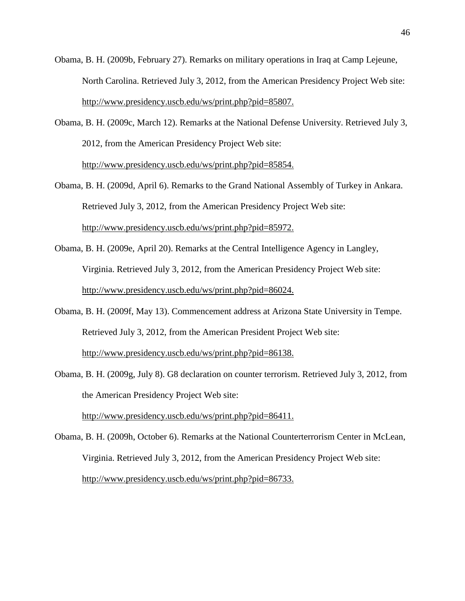- Obama, B. H. (2009b, February 27). Remarks on military operations in Iraq at Camp Lejeune, North Carolina. Retrieved July 3, 2012, from the American Presidency Project Web site: [http://www.presidency.uscb.edu/ws/print.php?pid=85807.](http://www.presidency.uscb.edu/ws/print.php?pid=85807)
- Obama, B. H. (2009c, March 12). Remarks at the National Defense University. Retrieved July 3, 2012, from the American Presidency Project Web site: [http://www.presidency.uscb.edu/ws/print.php?pid=85854.](http://www.presidency.uscb.edu/ws/print.php?pid=85854)
- Obama, B. H. (2009d, April 6). Remarks to the Grand National Assembly of Turkey in Ankara. Retrieved July 3, 2012, from the American Presidency Project Web site: [http://www.presidency.uscb.edu/ws/print.php?pid=85972.](http://www.presidency.uscb.edu/ws/print.php?pid=85972)
- Obama, B. H. (2009e, April 20). Remarks at the Central Intelligence Agency in Langley, Virginia. Retrieved July 3, 2012, from the American Presidency Project Web site: [http://www.presidency.uscb.edu/ws/print.php?pid=86024.](http://www.presidency.uscb.edu/ws/print.php?pid=86024)
- Obama, B. H. (2009f, May 13). Commencement address at Arizona State University in Tempe. Retrieved July 3, 2012, from the American President Project Web site: [http://www.presidency.uscb.edu/ws/print.php?pid=86138.](http://www.presidency.uscb.edu/ws/print.php?pid=86138)

Obama, B. H. (2009g, July 8). G8 declaration on counter terrorism. Retrieved July 3, 2012, from

the American Presidency Project Web site:

[http://www.presidency.uscb.edu/ws/print.php?pid=86411.](http://www.presidency.uscb.edu/ws/print.php?pid=86411)

Obama, B. H. (2009h, October 6). Remarks at the National Counterterrorism Center in McLean, Virginia. Retrieved July 3, 2012, from the American Presidency Project Web site: [http://www.presidency.uscb.edu/ws/print.php?pid=86733.](http://www.presidency.uscb.edu/ws/print.php?pid=86733)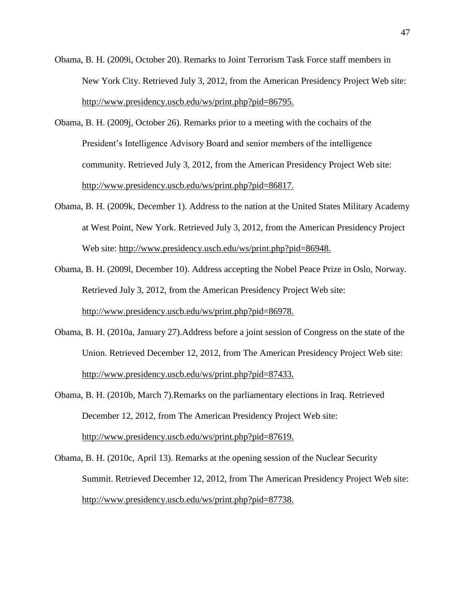- Obama, B. H. (2009i, October 20). Remarks to Joint Terrorism Task Force staff members in New York City. Retrieved July 3, 2012, from the American Presidency Project Web site: [http://www.presidency.uscb.edu/ws/print.php?pid=86795.](http://www.presidency.uscb.edu/ws/print.php?pid=86795)
- Obama, B. H. (2009j, October 26). Remarks prior to a meeting with the cochairs of the President's Intelligence Advisory Board and senior members of the intelligence community. Retrieved July 3, 2012, from the American Presidency Project Web site: [http://www.presidency.uscb.edu/ws/print.php?pid=86817.](http://www.presidency.uscb.edu/ws/print.php?pid=86817)
- Obama, B. H. (2009k, December 1). Address to the nation at the United States Military Academy at West Point, New York. Retrieved July 3, 2012, from the American Presidency Project Web site: [http://www.presidency.uscb.edu/ws/print.php?pid=86948.](http://www.presidency.uscb.edu/ws/print.php?pid=86948)
- Obama, B. H. (2009l, December 10). Address accepting the Nobel Peace Prize in Oslo, Norway. Retrieved July 3, 2012, from the American Presidency Project Web site: [http://www.presidency.uscb.edu/ws/print.php?pid=86978.](http://www.presidency.uscb.edu/ws/print.php?pid=86978)
- Obama, B. H. (2010a, January 27).Address before a joint session of Congress on the state of the Union. Retrieved December 12, 2012, from The American Presidency Project Web site: [http://www.presidency.uscb.edu/ws/print.php?pid=87433.](http://www.presidency.uscb.edu/ws/print.php?pid=87433)
- Obama, B. H. (2010b, March 7).Remarks on the parliamentary elections in Iraq. Retrieved December 12, 2012, from The American Presidency Project Web site: [http://www.presidency.uscb.edu/ws/print.php?pid=87619.](http://www.presidency.uscb.edu/ws/print.php?pid=87619)
- Obama, B. H. (2010c, April 13). Remarks at the opening session of the Nuclear Security Summit. Retrieved December 12, 2012, from The American Presidency Project Web site: [http://www.presidency.uscb.edu/ws/print.php?pid=87738.](http://www.presidency.uscb.edu/ws/print.php?pid=87738)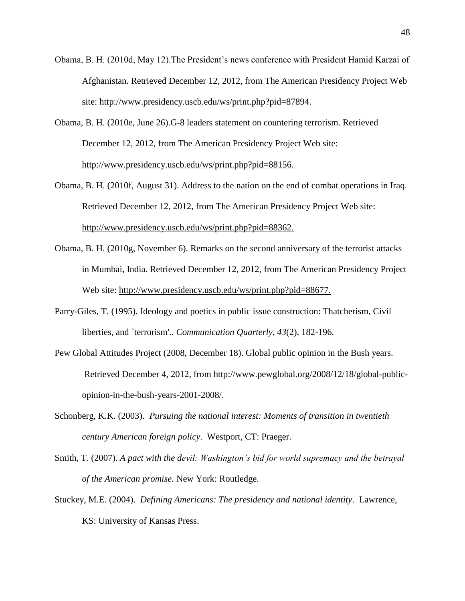- Obama, B. H. (2010d, May 12).The President's news conference with President Hamid Karzai of Afghanistan. Retrieved December 12, 2012, from The American Presidency Project Web site: [http://www.presidency.uscb.edu/ws/print.php?pid=87894.](http://www.presidency.uscb.edu/ws/print.php?pid=87894)
- Obama, B. H. (2010e, June 26).G-8 leaders statement on countering terrorism. Retrieved December 12, 2012, from The American Presidency Project Web site: [http://www.presidency.uscb.edu/ws/print.php?pid=88156.](http://www.presidency.uscb.edu/ws/print.php?pid=88156)
- Obama, B. H. (2010f, August 31). Address to the nation on the end of combat operations in Iraq. Retrieved December 12, 2012, from The American Presidency Project Web site: [http://www.presidency.uscb.edu/ws/print.php?pid=88362.](http://www.presidency.uscb.edu/ws/print.php?pid=88362)
- Obama, B. H. (2010g, November 6). Remarks on the second anniversary of the terrorist attacks in Mumbai, India. Retrieved December 12, 2012, from The American Presidency Project Web site: [http://www.presidency.uscb.edu/ws/print.php?pid=88677.](http://www.presidency.uscb.edu/ws/print.php?pid=88677)
- Parry-Giles, T. (1995). Ideology and poetics in public issue construction: Thatcherism, Civil liberties, and `terrorism'.. *Communication Quarterly*, *43*(2), 182-196.
- Pew Global Attitudes Project (2008, December 18). Global public opinion in the Bush years. Retrieved December 4, 2012, from [http://www.pewglobal.org/2008/12/18/global-public](http://www.pewglobal.org/2008/12/18/global-public-%09opinion-in-the-bush-years-2001-2008/)[opinion-in-the-bush-years-2001-2008/.](http://www.pewglobal.org/2008/12/18/global-public-%09opinion-in-the-bush-years-2001-2008/)
- Schonberg, K.K. (2003). *Pursuing the national interest: Moments of transition in twentieth century American foreign policy*. Westport, CT: Praeger.
- Smith, T. (2007). *A pact with the devil: Washington's bid for world supremacy and the betrayal of the American promise.* New York: Routledge.
- Stuckey, M.E. (2004). *Defining Americans: The presidency and national identity*. Lawrence, KS: University of Kansas Press.